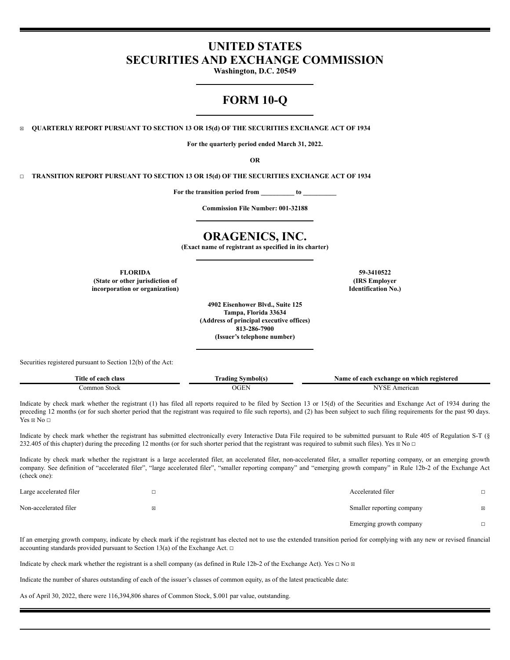# **UNITED STATES SECURITIES AND EXCHANGE COMMISSION**

**Washington, D.C. 20549**

# **FORM 10-Q**

☒ **QUARTERLY REPORT PURSUANT TO SECTION 13 OR 15(d) OF THE SECURITIES EXCHANGE ACT OF 1934**

**For the quarterly period ended March 31, 2022.**

**OR**

☐ **TRANSITION REPORT PURSUANT TO SECTION 13 OR 15(d) OF THE SECURITIES EXCHANGE ACT OF 1934**

**For the transition period from \_\_\_\_\_\_\_\_\_\_ to \_\_\_\_\_\_\_\_\_\_**

**Commission File Number: 001-32188**

## **ORAGENICS, INC.**

**(Exact name of registrant as specified in its charter)**

**FLORIDA 59-3410522 (State or other jurisdiction of incorporation or organization)**

**(IRS Employer Identification No.)**

**4902 Eisenhower Blvd., Suite 125 Tampa, Florida 33634 (Address of principal executive offices) 813-286-7900 (Issuer's telephone number)**

Securities registered pursuant to Section 12(b) of the Act:

| <b>CENS</b><br>1tk<br>clas:<br>each<br>oт | nbolts<br><b>Tadin</b> | registered<br>. vame<br>on<br>- xchange<br>-which -<br>.<br>. |  |  |
|-------------------------------------------|------------------------|---------------------------------------------------------------|--|--|
| ommoi<br>Stock                            | OGE                    | rican<br>Amer,<br>$\mathbf{L}$                                |  |  |

Indicate by check mark whether the registrant (1) has filed all reports required to be filed by Section 13 or 15(d) of the Securities and Exchange Act of 1934 during the preceding 12 months (or for such shorter period that the registrant was required to file such reports), and (2) has been subject to such filing requirements for the past 90 days. Yes  $\boxtimes$  No  $\Box$ 

Indicate by check mark whether the registrant has submitted electronically every Interactive Data File required to be submitted pursuant to Rule 405 of Regulation S-T (§ 232.405 of this chapter) during the preceding 12 months (or for such shorter period that the registrant was required to submit such files). Yes  $\boxtimes$  No  $\Box$ 

Indicate by check mark whether the registrant is a large accelerated filer, an accelerated filer, non-accelerated filer, a smaller reporting company, or an emerging growth company. See definition of "accelerated filer", "large accelerated filer", "smaller reporting company" and "emerging growth company" in Rule 12b-2 of the Exchange Act (check one):

| Large accelerated filer | − | Accelerated filer         |   |
|-------------------------|---|---------------------------|---|
| Non-accelerated filer   | × | Smaller reporting company | ⊠ |
|                         |   | Emerging growth company   |   |

If an emerging growth company, indicate by check mark if the registrant has elected not to use the extended transition period for complying with any new or revised financial accounting standards provided pursuant to Section 13(a) of the Exchange Act.  $\Box$ 

Indicate by check mark whether the registrant is a shell company (as defined in Rule 12b-2 of the Exchange Act). Yes  $\Box$  No  $\Box$ 

Indicate the number of shares outstanding of each of the issuer's classes of common equity, as of the latest practicable date:

As of April 30, 2022, there were 116,394,806 shares of Common Stock, \$.001 par value, outstanding.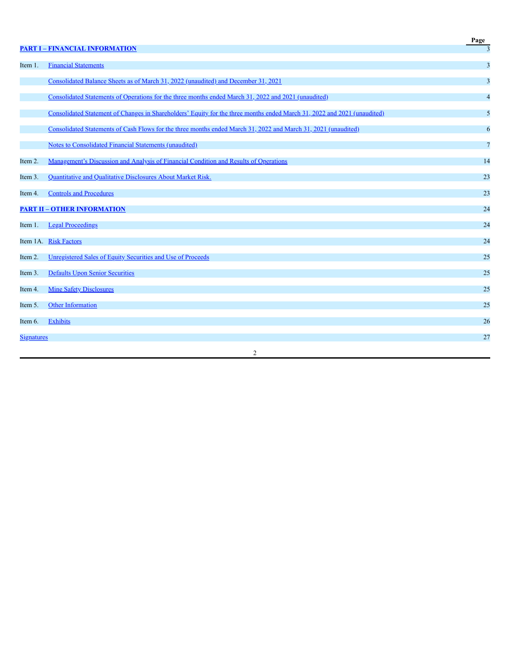|                   |                                                                                                                          | Page                    |
|-------------------|--------------------------------------------------------------------------------------------------------------------------|-------------------------|
|                   | <b>PART I - FINANCIAL INFORMATION</b>                                                                                    |                         |
| Item 1.           | <b>Financial Statements</b>                                                                                              | $\overline{\mathbf{3}}$ |
|                   | Consolidated Balance Sheets as of March 31, 2022 (unaudited) and December 31, 2021                                       | $\overline{\mathbf{3}}$ |
|                   | Consolidated Statements of Operations for the three months ended March 31, 2022 and 2021 (unaudited)                     | $\overline{4}$          |
|                   | Consolidated Statement of Changes in Shareholders' Equity for the three months ended March 31, 2022 and 2021 (unaudited) | 5                       |
|                   | Consolidated Statements of Cash Flows for the three months ended March 31, 2022 and March 31, 2021 (unaudited)           | 6                       |
|                   | <b>Notes to Consolidated Financial Statements (unaudited)</b>                                                            | $7\phantom{.0}$         |
| Item 2.           | Management's Discussion and Analysis of Financial Condition and Results of Operations                                    | 14                      |
| Item 3.           | Quantitative and Qualitative Disclosures About Market Risk.                                                              | 23                      |
| Item 4.           | <b>Controls and Procedures</b>                                                                                           | 23                      |
|                   | <b>PART II - OTHER INFORMATION</b>                                                                                       | 24                      |
| Item 1.           | <b>Legal Proceedings</b>                                                                                                 | 24                      |
|                   | Item 1A. Risk Factors                                                                                                    | 24                      |
| Item 2.           | Unregistered Sales of Equity Securities and Use of Proceeds                                                              | 25                      |
| Item 3.           | <b>Defaults Upon Senior Securities</b>                                                                                   | 25                      |
| Item 4.           | <b>Mine Safety Disclosures</b>                                                                                           | 25                      |
| Item 5.           | <b>Other Information</b>                                                                                                 | 25                      |
| Item 6.           | Exhibits                                                                                                                 | 26                      |
| <b>Signatures</b> |                                                                                                                          | 27                      |
|                   | $\overline{2}$                                                                                                           |                         |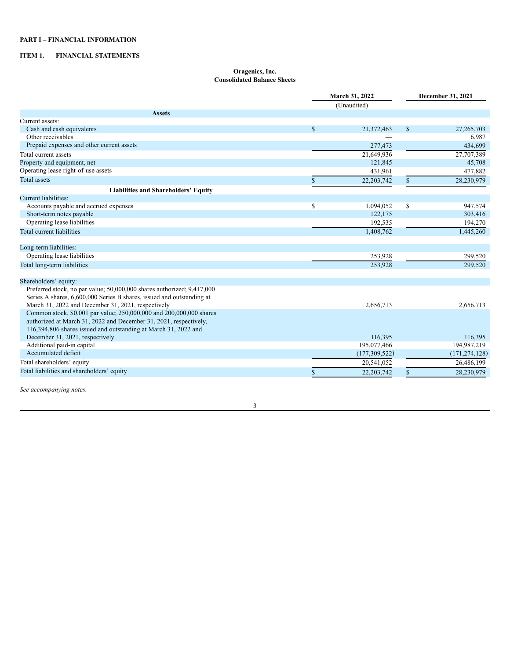## <span id="page-2-0"></span>**PART I – FINANCIAL INFORMATION**

## <span id="page-2-2"></span><span id="page-2-1"></span>**ITEM 1. FINANCIAL STATEMENTS**

#### **Oragenics, Inc. Consolidated Balance Sheets**

|                                                                        | March 31, 2022 |                 | December 31, 2021 |                 |
|------------------------------------------------------------------------|----------------|-----------------|-------------------|-----------------|
| <b>Assets</b>                                                          |                | (Unaudited)     |                   |                 |
| Current assets:                                                        |                |                 |                   |                 |
| Cash and cash equivalents                                              | $\mathbb{S}$   | 21,372,463      | $\mathbb{S}$      | 27,265,703      |
| Other receivables                                                      |                |                 |                   | 6,987           |
| Prepaid expenses and other current assets                              |                | 277,473         |                   | 434,699         |
| Total current assets                                                   |                | 21,649,936      |                   | 27,707,389      |
| Property and equipment, net                                            |                | 121,845         |                   | 45,708          |
| Operating lease right-of-use assets                                    |                | 431,961         |                   | 477,882         |
| <b>Total</b> assets                                                    |                | 22, 203, 742    | S                 | 28,230,979      |
| <b>Liabilities and Shareholders' Equity</b>                            |                |                 |                   |                 |
| Current liabilities:                                                   |                |                 |                   |                 |
| Accounts payable and accrued expenses                                  | $\mathbb{S}$   | 1,094,052       | \$                | 947,574         |
| Short-term notes payable                                               |                | 122,175         |                   | 303,416         |
| Operating lease liabilities                                            |                | 192,535         |                   | 194,270         |
| Total current liabilities                                              |                | 1,408,762       |                   | 1,445,260       |
| Long-term liabilities:                                                 |                |                 |                   |                 |
| Operating lease liabilities                                            |                | 253,928         |                   | 299,520         |
| Total long-term liabilities                                            |                | 253,928         |                   | 299,520         |
| Shareholders' equity:                                                  |                |                 |                   |                 |
| Preferred stock, no par value; 50,000,000 shares authorized; 9,417,000 |                |                 |                   |                 |
| Series A shares, 6,600,000 Series B shares, issued and outstanding at  |                |                 |                   |                 |
| March 31, 2022 and December 31, 2021, respectively                     |                | 2,656,713       |                   | 2,656,713       |
| Common stock, \$0.001 par value; 250,000,000 and 200,000,000 shares    |                |                 |                   |                 |
| authorized at March 31, 2022 and December 31, 2021, respectively,      |                |                 |                   |                 |
| 116,394,806 shares issued and outstanding at March 31, 2022 and        |                |                 |                   |                 |
| December 31, 2021, respectively                                        |                | 116,395         |                   | 116,395         |
| Additional paid-in capital                                             |                | 195,077,466     |                   | 194,987,219     |
| Accumulated deficit                                                    |                | (177, 309, 522) |                   | (171, 274, 128) |
| Total shareholders' equity                                             |                | 20,541,052      |                   | 26,486,199      |
| Total liabilities and shareholders' equity                             |                | 22, 203, 742    |                   | 28,230,979      |

*See accompanying notes.*

3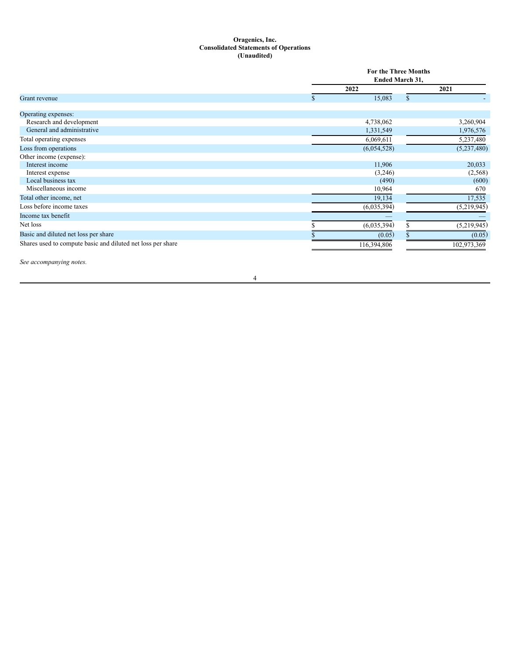## **Oragenics, Inc. Consolidated Statements of Operations (Unaudited)**

<span id="page-3-0"></span>

|                                                             |    | <b>For the Three Months</b><br>Ended March 31, |              |             |  |
|-------------------------------------------------------------|----|------------------------------------------------|--------------|-------------|--|
|                                                             |    | 2022                                           |              | 2021        |  |
| Grant revenue                                               | Ж. | 15,083                                         | $\mathbb{S}$ |             |  |
| Operating expenses:                                         |    |                                                |              |             |  |
| Research and development                                    |    | 4,738,062                                      |              | 3,260,904   |  |
| General and administrative                                  |    | 1,331,549                                      |              | 1,976,576   |  |
| Total operating expenses                                    |    | 6,069,611                                      |              | 5,237,480   |  |
| Loss from operations                                        |    | (6,054,528)                                    |              | (5,237,480) |  |
| Other income (expense):                                     |    |                                                |              |             |  |
| Interest income                                             |    | 11,906                                         |              | 20,033      |  |
| Interest expense                                            |    | (3,246)                                        |              | (2, 568)    |  |
| Local business tax                                          |    | (490)                                          |              | (600)       |  |
| Miscellaneous income                                        |    | 10,964                                         |              | 670         |  |
| Total other income, net                                     |    | 19,134                                         |              | 17,535      |  |
| Loss before income taxes                                    |    | (6,035,394)                                    |              | (5,219,945) |  |
| Income tax benefit                                          |    |                                                |              |             |  |
| Net loss                                                    |    | (6,035,394)                                    |              | (5,219,945) |  |
| Basic and diluted net loss per share                        |    | (0.05)                                         |              | (0.05)      |  |
| Shares used to compute basic and diluted net loss per share |    | 116,394,806                                    |              | 102,973,369 |  |

*See accompanying notes.*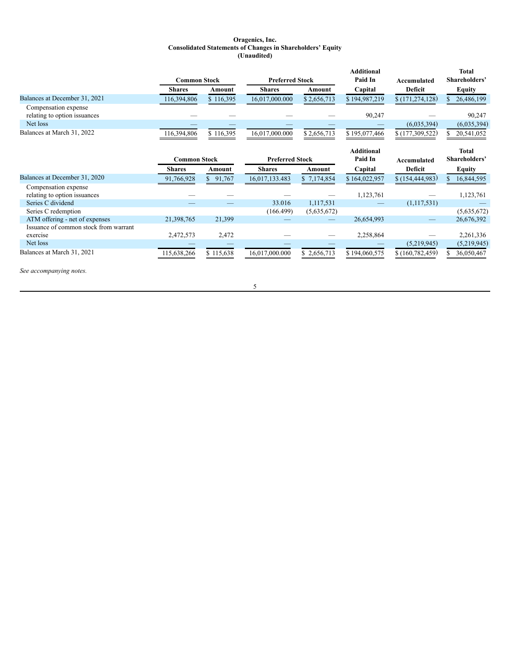## **Oragenics, Inc. Consolidated Statements of Changes in Shareholders' Equity (Unaudited)**

<span id="page-4-0"></span>

|                                                      | <b>Common Stock</b> |           | <b>Preferred Stock</b> |             | <b>Additional</b><br>Paid In | Accumulated       | <b>Total</b><br>Shareholders' |  |
|------------------------------------------------------|---------------------|-----------|------------------------|-------------|------------------------------|-------------------|-------------------------------|--|
|                                                      | <b>Shares</b>       | Amount    | <b>Shares</b>          | Amount      | Capital                      | Deficit           | Equity                        |  |
| Balances at December 31, 2021                        | 116,394,806         | \$116,395 | 16,017,000.000         | \$2,656,713 | \$194,987,219                | \$(171, 274, 128) | 26,486,199                    |  |
| Compensation expense<br>relating to option issuances |                     |           |                        |             | 90,247                       |                   | 90,247                        |  |
| Net loss                                             |                     |           |                        |             |                              | (6,035,394)       | (6,035,394)                   |  |
| Balances at March 31, 2022                           | 116,394,806         | \$116,395 | 16.017.000.000         | \$2,656,713 | \$195,077,466                | \$(177,309,522)   | 20,541,052                    |  |
|                                                      | <b>Common Stock</b> |           | <b>Preferred Stock</b> |             | <b>Additional</b><br>Paid In | Accumulated       | <b>Total</b><br>Shareholders' |  |
|                                                      | <b>Shares</b>       | Amount    | <b>Shares</b>          | Amount      | Capital                      | Deficit           | <b>Equity</b>                 |  |
| Balances at December 31, 2020                        | 91,766,928          | \$91,767  | 16,017,133.483         | \$7,174,854 | \$164,022,957                | \$(154, 444, 983) | 16,844,595<br>\$.             |  |
| Compensation expense                                 |                     |           |                        |             |                              |                   |                               |  |

| relating to option issuances          |             |           |                |             | 1,123,761     |                   | 1,123,761   |
|---------------------------------------|-------------|-----------|----------------|-------------|---------------|-------------------|-------------|
| Series C dividend                     |             |           | 33.016         | 1,117,531   |               | (1, 117, 531)     |             |
| Series C redemption                   |             |           | (166.499)      | (5,635,672) |               |                   | (5,635,672) |
| ATM offering - net of expenses        | 21,398,765  | 21,399    |                |             | 26,654,993    |                   | 26,676,392  |
| Issuance of common stock from warrant |             |           |                |             |               |                   |             |
| exercise                              | 2,472,573   | 2,472     |                |             | 2,258,864     |                   | 2,261,336   |
| Net loss                              |             |           |                |             |               | (5,219,945)       | (5,219,945) |
| Balances at March 31, 2021            | 115,638,266 | \$115,638 | 16,017,000.000 | \$2,656,713 | \$194,060,575 | \$(160, 782, 459) | 36,050,467  |

*See accompanying notes.*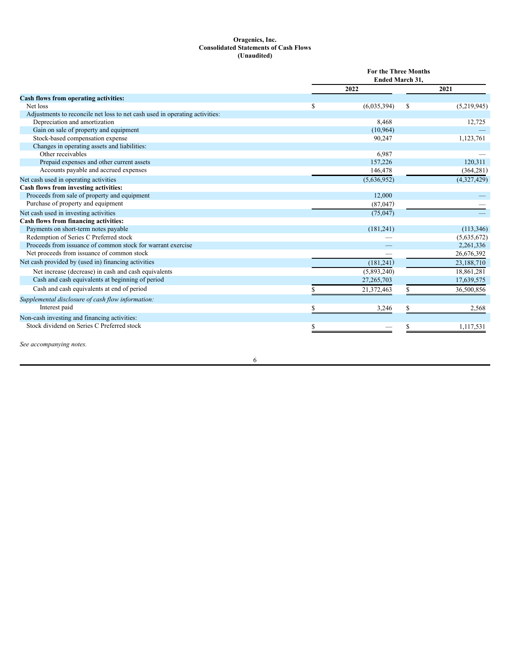## **Oragenics, Inc. Consolidated Statements of Cash Flows (Unaudited)**

<span id="page-5-0"></span>

|                                                                             | <b>For the Three Months</b><br><b>Ended March 31.</b> |    |             |
|-----------------------------------------------------------------------------|-------------------------------------------------------|----|-------------|
|                                                                             | 2022                                                  |    | 2021        |
| Cash flows from operating activities:                                       |                                                       |    |             |
| Net loss                                                                    | \$<br>(6,035,394)                                     | \$ | (5,219,945) |
| Adjustments to reconcile net loss to net cash used in operating activities: |                                                       |    |             |
| Depreciation and amortization                                               | 8,468                                                 |    | 12,725      |
| Gain on sale of property and equipment                                      | (10,964)                                              |    |             |
| Stock-based compensation expense                                            | 90,247                                                |    | 1,123,761   |
| Changes in operating assets and liabilities:                                |                                                       |    |             |
| Other receivables                                                           | 6,987                                                 |    |             |
| Prepaid expenses and other current assets                                   | 157,226                                               |    | 120,311     |
| Accounts payable and accrued expenses                                       | 146,478                                               |    | (364, 281)  |
| Net cash used in operating activities                                       | $\overline{(5,636,952)}$                              |    | (4,327,429) |
| Cash flows from investing activities:                                       |                                                       |    |             |
| Proceeds from sale of property and equipment                                | 12,000                                                |    |             |
| Purchase of property and equipment                                          | (87, 047)                                             |    |             |
| Net cash used in investing activities                                       | (75,047)                                              |    |             |
| Cash flows from financing activities:                                       |                                                       |    |             |
| Payments on short-term notes payable                                        | (181,241)                                             |    | (113, 346)  |
| Redemption of Series C Preferred stock                                      |                                                       |    | (5,635,672) |
| Proceeds from issuance of common stock for warrant exercise                 |                                                       |    | 2,261,336   |
| Net proceeds from issuance of common stock                                  |                                                       |    | 26,676,392  |
| Net cash provided by (used in) financing activities                         | (181, 241)                                            |    | 23,188,710  |
| Net increase (decrease) in cash and cash equivalents                        | (5,893,240)                                           |    | 18,861,281  |
| Cash and cash equivalents at beginning of period                            | 27,265,703                                            |    | 17,639,575  |
| Cash and cash equivalents at end of period                                  | 21,372,463                                            |    | 36,500,856  |
| Supplemental disclosure of cash flow information:                           |                                                       |    |             |
| Interest paid                                                               | 3,246                                                 |    | 2,568       |
| Non-cash investing and financing activities:                                |                                                       |    |             |
| Stock dividend on Series C Preferred stock                                  |                                                       |    | 1,117,531   |
| See accompanying notes.                                                     |                                                       |    |             |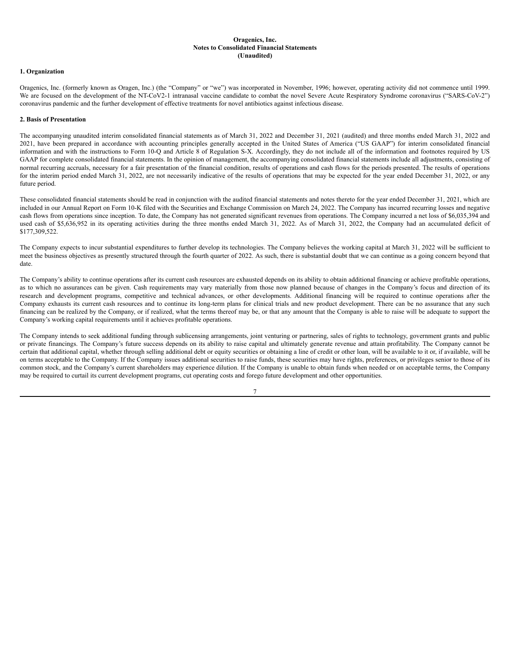#### **Oragenics, Inc. Notes to Consolidated Financial Statements (Unaudited)**

#### <span id="page-6-0"></span>**1. Organization**

Oragenics, Inc. (formerly known as Oragen, Inc.) (the "Company" or "we") was incorporated in November, 1996; however, operating activity did not commence until 1999. We are focused on the development of the NT-CoV2-1 intranasal vaccine candidate to combat the novel Severe Acute Respiratory Syndrome coronavirus ("SARS-CoV-2") coronavirus pandemic and the further development of effective treatments for novel antibiotics against infectious disease.

## **2. Basis of Presentation**

The accompanying unaudited interim consolidated financial statements as of March 31, 2022 and December 31, 2021 (audited) and three months ended March 31, 2022 and 2021, have been prepared in accordance with accounting principles generally accepted in the United States of America ("US GAAP") for interim consolidated financial information and with the instructions to Form 10-Q and Article 8 of Regulation S-X. Accordingly, they do not include all of the information and footnotes required by US GAAP for complete consolidated financial statements. In the opinion of management, the accompanying consolidated financial statements include all adjustments, consisting of normal recurring accruals, necessary for a fair presentation of the financial condition, results of operations and cash flows for the periods presented. The results of operations for the interim period ended March 31, 2022, are not necessarily indicative of the results of operations that may be expected for the year ended December 31, 2022, or any future period.

These consolidated financial statements should be read in conjunction with the audited financial statements and notes thereto for the year ended December 31, 2021, which are included in our Annual Report on Form 10-K filed with the Securities and Exchange Commission on March 24, 2022. The Company has incurred recurring losses and negative cash flows from operations since inception. To date, the Company has not generated significant revenues from operations. The Company incurred a net loss of \$6,035,394 and used cash of \$5,636,952 in its operating activities during the three months ended March 31, 2022. As of March 31, 2022, the Company had an accumulated deficit of \$177,309,522.

The Company expects to incur substantial expenditures to further develop its technologies. The Company believes the working capital at March 31, 2022 will be sufficient to meet the business objectives as presently structured through the fourth quarter of 2022. As such, there is substantial doubt that we can continue as a going concern beyond that date.

The Company's ability to continue operations after its current cash resources are exhausted depends on its ability to obtain additional financing or achieve profitable operations, as to which no assurances can be given. Cash requirements may vary materially from those now planned because of changes in the Company's focus and direction of its research and development programs, competitive and technical advances, or other developments. Additional financing will be required to continue operations after the Company exhausts its current cash resources and to continue its long-term plans for clinical trials and new product development. There can be no assurance that any such financing can be realized by the Company, or if realized, what the terms thereof may be, or that any amount that the Company is able to raise will be adequate to support the Company's working capital requirements until it achieves profitable operations.

The Company intends to seek additional funding through sublicensing arrangements, joint venturing or partnering, sales of rights to technology, government grants and public or private financings. The Company's future success depends on its ability to raise capital and ultimately generate revenue and attain profitability. The Company cannot be certain that additional capital, whether through selling additional debt or equity securities or obtaining a line of credit or other loan, will be available to it or, if available, will be on terms acceptable to the Company. If the Company issues additional securities to raise funds, these securities may have rights, preferences, or privileges senior to those of its common stock, and the Company's current shareholders may experience dilution. If the Company is unable to obtain funds when needed or on acceptable terms, the Company may be required to curtail its current development programs, cut operating costs and forego future development and other opportunities.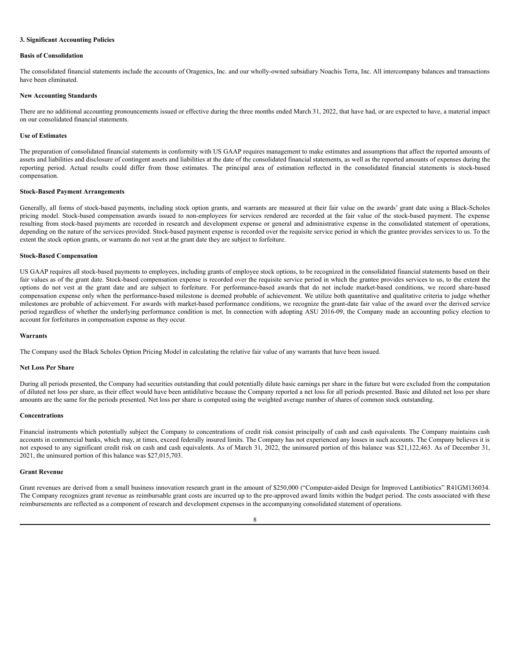## **3. Significant Accounting Policies**

## **Basis of Consolidation**

The consolidated financial statements include the accounts of Oragenics, Inc. and our wholly-owned subsidiary Noachis Terra, Inc. All intercompany balances and transactions have been eliminated.

#### **New Accounting Standards**

There are no additional accounting pronouncements issued or effective during the three months ended March 31, 2022, that have had, or are expected to have, a material impact on our consolidated financial statements.

## **Use of Estimates**

The preparation of consolidated financial statements in conformity with US GAAP requires management to make estimates and assumptions that affect the reported amounts of assets and liabilities and disclosure of contingent assets and liabilities at the date of the consolidated financial statements, as well as the reported amounts of expenses during the reporting period. Actual results could differ from those estimates. The principal area of estimation reflected in the consolidated financial statements is stock-based compensation.

#### **Stock-Based Payment Arrangements**

Generally, all forms of stock-based payments, including stock option grants, and warrants are measured at their fair value on the awards' grant date using a Black-Scholes pricing model. Stock-based compensation awards issued to non-employees for services rendered are recorded at the fair value of the stock-based payment. The expense resulting from stock-based payments are recorded in research and development expense or general and administrative expense in the consolidated statement of operations, depending on the nature of the services provided. Stock-based payment expense is recorded over the requisite service period in which the grantee provides services to us. To the extent the stock option grants, or warrants do not vest at the grant date they are subject to forfeiture.

#### **Stock-Based Compensation**

US GAAP requires all stock-based payments to employees, including grants of employee stock options, to be recognized in the consolidated financial statements based on their fair values as of the grant date. Stock-based compensation expense is recorded over the requisite service period in which the grantee provides services to us, to the extent the options do not vest at the grant date and are subject to forfeiture. For performance-based awards that do not include market-based conditions, we record share-based compensation expense only when the performance-based milestone is deemed probable of achievement. We utilize both quantitative and qualitative criteria to judge whether milestones are probable of achievement. For awards with market-based performance conditions, we recognize the grant-date fair value of the award over the derived service period regardless of whether the underlying performance condition is met. In connection with adopting ASU 2016-09, the Company made an accounting policy election to account for forfeitures in compensation expense as they occur.

#### **Warrants**

The Company used the Black Scholes Option Pricing Model in calculating the relative fair value of any warrants that have been issued.

#### **Net Loss Per Share**

During all periods presented, the Company had securities outstanding that could potentially dilute basic earnings per share in the future but were excluded from the computation of diluted net loss per share, as their effect would have been antidilutive because the Company reported a net loss for all periods presented. Basic and diluted net loss per share amounts are the same for the periods presented. Net loss per share is computed using the weighted average number of shares of common stock outstanding.

## **Concentrations**

Financial instruments which potentially subject the Company to concentrations of credit risk consist principally of cash and cash equivalents. The Company maintains cash accounts in commercial banks, which may, at times, exceed federally insured limits. The Company has not experienced any losses in such accounts. The Company believes it is not exposed to any significant credit risk on cash and cash equivalents. As of March 31, 2022, the uninsured portion of this balance was \$21,122,463. As of December 31, 2021, the uninsured portion of this balance was \$27,015,703.

#### **Grant Revenue**

Grant revenues are derived from a small business innovation research grant in the amount of \$250,000 ("Computer-aided Design for Improved Lantibiotics" R41GM136034. The Company recognizes grant revenue as reimbursable grant costs are incurred up to the pre-approved award limits within the budget period. The costs associated with these reimbursements are reflected as a component of research and development expenses in the accompanying consolidated statement of operations.

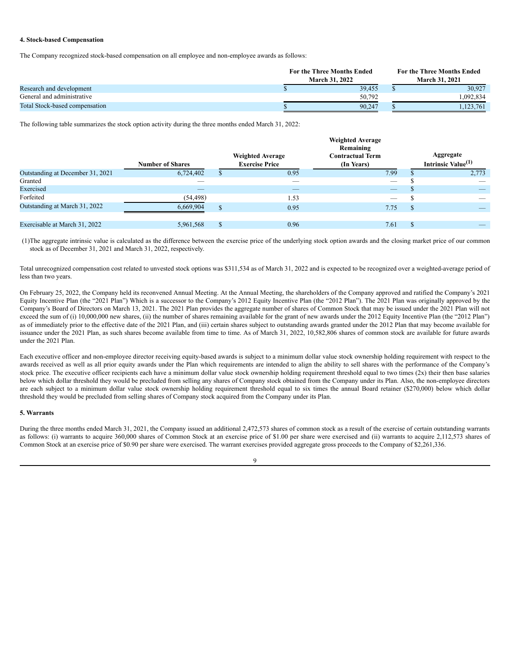## **4. Stock-based Compensation**

The Company recognized stock-based compensation on all employee and non-employee awards as follows:

|                                | <b>For the Three Months Ended</b><br>March 31, 2022 |        |  | <b>For the Three Months Ended</b><br>March 31, 2021 |  |  |
|--------------------------------|-----------------------------------------------------|--------|--|-----------------------------------------------------|--|--|
| Research and development       |                                                     | 39,455 |  | 30.927                                              |  |  |
| General and administrative     |                                                     | 50.792 |  | .092.834                                            |  |  |
| Total Stock-based compensation |                                                     | 90,247 |  | ,123,761                                            |  |  |

The following table summarizes the stock option activity during the three months ended March 31, 2022:

|                                  | <b>Number of Shares</b> | <b>Weighted Average</b><br><b>Exercise Price</b> | <b>Weighted Average</b><br>Remaining<br>Contractual Term<br>(In Years) |                    | Aggregate<br>Intrinsic Value <sup>(1)</sup> |
|----------------------------------|-------------------------|--------------------------------------------------|------------------------------------------------------------------------|--------------------|---------------------------------------------|
| Outstanding at December 31, 2021 | 6,724,402               | 0.95                                             | 7.99                                                                   |                    | 2,773                                       |
| Granted                          |                         |                                                  | --                                                                     |                    |                                             |
| Exercised                        |                         |                                                  | _                                                                      |                    |                                             |
| Forfeited                        | (54, 498)               | 1.53                                             | --                                                                     |                    | _                                           |
| Outstanding at March 31, 2022    | 6.669.904               | 0.95                                             | 7.75                                                                   | $\mathbf{\hat{S}}$ |                                             |
|                                  |                         |                                                  |                                                                        |                    |                                             |
| Exercisable at March 31, 2022    | 5,961,568               | 0.96                                             | 7.61                                                                   |                    |                                             |

(1)The aggregate intrinsic value is calculated as the difference between the exercise price of the underlying stock option awards and the closing market price of our common stock as of December 31, 2021 and March 31, 2022, respectively.

Total unrecognized compensation cost related to unvested stock options was \$311,534 as of March 31, 2022 and is expected to be recognized over a weighted-average period of less than two years.

On February 25, 2022, the Company held its reconvened Annual Meeting. At the Annual Meeting, the shareholders of the Company approved and ratified the Company's 2021 Equity Incentive Plan (the "2021 Plan") Which is a successor to the Company's 2012 Equity Incentive Plan (the "2012 Plan"). The 2021 Plan was originally approved by the Company's Board of Directors on March 13, 2021. The 2021 Plan provides the aggregate number of shares of Common Stock that may be issued under the 2021 Plan will not exceed the sum of (i) 10,000,000 new shares, (ii) the number of shares remaining available for the grant of new awards under the 2012 Equity Incentive Plan (the "2012 Plan") as of immediately prior to the effective date of the 2021 Plan, and (iii) certain shares subject to outstanding awards granted under the 2012 Plan that may become available for issuance under the 2021 Plan, as such shares become available from time to time. As of March 31, 2022, 10,582,806 shares of common stock are available for future awards under the 2021 Plan.

Each executive officer and non-employee director receiving equity-based awards is subject to a minimum dollar value stock ownership holding requirement with respect to the awards received as well as all prior equity awards under the Plan which requirements are intended to align the ability to sell shares with the performance of the Company's stock price. The executive officer recipients each have a minimum dollar value stock ownership holding requirement threshold equal to two times (2x) their then base salaries below which dollar threshold they would be precluded from selling any shares of Company stock obtained from the Company under its Plan. Also, the non-employee directors are each subject to a minimum dollar value stock ownership holding requirement threshold equal to six times the annual Board retainer (\$270,000) below which dollar threshold they would be precluded from selling shares of Company stock acquired from the Company under its Plan.

#### **5. Warrants**

During the three months ended March 31, 2021, the Company issued an additional 2,472,573 shares of common stock as a result of the exercise of certain outstanding warrants as follows: (i) warrants to acquire 360,000 shares of Common Stock at an exercise price of \$1.00 per share were exercised and (ii) warrants to acquire 2,112,573 shares of Common Stock at an exercise price of \$0.90 per share were exercised. The warrant exercises provided aggregate gross proceeds to the Company of \$2,261,336.

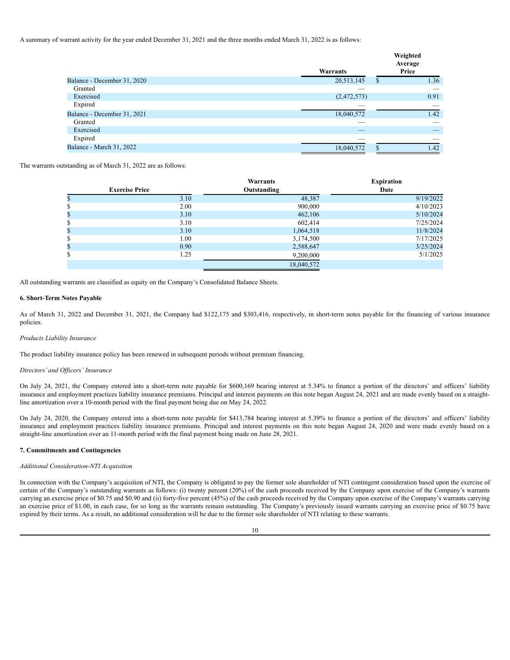A summary of warrant activity for the year ended December 31, 2021 and the three months ended March 31, 2022 is as follows:

|                             | Warrants    |             | Weighted<br>Average<br>Price |
|-----------------------------|-------------|-------------|------------------------------|
| Balance - December 31, 2020 | 20,513,145  | $\mathbf S$ | 1.36                         |
| Granted                     |             |             |                              |
| Exercised                   | (2,472,573) |             | 0.91                         |
| Expired                     |             |             |                              |
| Balance - December 31, 2021 | 18,040,572  |             | 1.42                         |
| Granted                     |             |             |                              |
| Exercised                   |             |             |                              |
| Expired                     |             |             |                              |
| Balance - March 31, 2022    | 18,040,572  | \$.         | 1.42                         |

The warrants outstanding as of March 31, 2022 are as follows:

|                       | Warrants    | <b>Expiration</b> |
|-----------------------|-------------|-------------------|
| <b>Exercise Price</b> | Outstanding | Date              |
| 3.10                  | 48,387      | 9/19/2022         |
| \$<br>2.00            | 900,000     | 4/10/2023         |
| \$<br>3.10            | 462,106     | 5/10/2024         |
| \$<br>3.10            | 602,414     | 7/25/2024         |
| \$<br>3.10            | 1,064,518   | 11/8/2024         |
| \$<br>1.00            | 3,174,500   | 7/17/2025         |
| \$<br>0.90            | 2,588,647   | 3/25/2024         |
| \$<br>1.25            | 9,200,000   | 5/1/2025          |
|                       | 18,040,572  |                   |

All outstanding warrants are classified as equity on the Company's Consolidated Balance Sheets.

#### **6. Short-Term Notes Payable**

As of March 31, 2022 and December 31, 2021, the Company had \$122,175 and \$303,416, respectively, in short-term notes payable for the financing of various insurance policies.

#### *Products Liability Insurance*

The product liability insurance policy has been renewed in subsequent periods without premium financing.

## *Directors' and Of icers' Insurance*

On July 24, 2021, the Company entered into a short-term note payable for \$600,169 bearing interest at 5.34% to finance a portion of the directors' and officers' liability insurance and employment practices liability insurance premiums. Principal and interest payments on this note began August 24, 2021 and are made evenly based on a straightline amortization over a 10-month period with the final payment being due on May 24, 2022.

On July 24, 2020, the Company entered into a short-term note payable for \$413,784 bearing interest at 5.39% to finance a portion of the directors' and officers' liability insurance and employment practices liability insurance premiums. Principal and interest payments on this note began August 24, 2020 and were made evenly based on a straight-line amortization over an 11-month period with the final payment being made on June 28, 2021.

#### **7. Commitments and Contingencies**

## *Additional Consideration-NTI Acquisition*

In connection with the Company's acquisition of NTI, the Company is obligated to pay the former sole shareholder of NTI contingent consideration based upon the exercise of certain of the Company's outstanding warrants as follows: (i) twenty percent (20%) of the cash proceeds received by the Company upon exercise of the Company's warrants carrying an exercise price of \$0.75 and \$0.90 and (ii) forty-five percent (45%) of the cash proceeds received by the Company upon exercise of the Company's warrants carrying an exercise price of \$1.00, in each case, for so long as the warrants remain outstanding. The Company's previously issued warrants carrying an exercise price of \$0.75 have expired by their terms. As a result, no additional consideration will be due to the former sole shareholder of NTI relating to these warrants.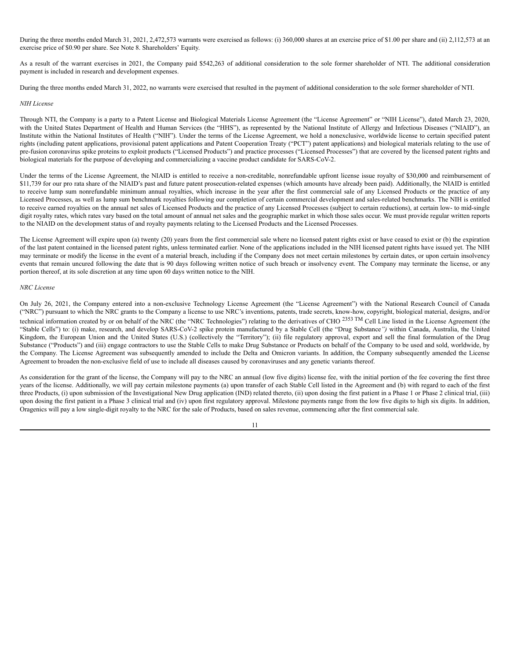During the three months ended March 31, 2021, 2,472,573 warrants were exercised as follows: (i) 360,000 shares at an exercise price of \$1.00 per share and (ii) 2,112,573 at an exercise price of \$0.90 per share. See Note 8. Shareholders' Equity.

As a result of the warrant exercises in 2021, the Company paid \$542,263 of additional consideration to the sole former shareholder of NTI. The additional consideration payment is included in research and development expenses.

During the three months ended March 31, 2022, no warrants were exercised that resulted in the payment of additional consideration to the sole former shareholder of NTI.

#### *NIH License*

Through NTI, the Company is a party to a Patent License and Biological Materials License Agreement (the "License Agreement" or "NIH License"), dated March 23, 2020, with the United States Department of Health and Human Services (the "HHS"), as represented by the National Institute of Allergy and Infectious Diseases ("NIAID"), an Institute within the National Institutes of Health ("NIH"). Under the terms of the License Agreement, we hold a nonexclusive, worldwide license to certain specified patent rights (including patent applications, provisional patent applications and Patent Cooperation Treaty ("PCT") patent applications) and biological materials relating to the use of pre-fusion coronavirus spike proteins to exploit products ("Licensed Products") and practice processes ("Licensed Processes") that are covered by the licensed patent rights and biological materials for the purpose of developing and commercializing a vaccine product candidate for SARS-CoV-2.

Under the terms of the License Agreement, the NIAID is entitled to receive a non-creditable, nonrefundable upfront license issue royalty of \$30,000 and reimbursement of \$11,739 for our pro rata share of the NIAID's past and future patent prosecution-related expenses (which amounts have already been paid). Additionally, the NIAID is entitled to receive lump sum nonrefundable minimum annual royalties, which increase in the year after the first commercial sale of any Licensed Products or the practice of any Licensed Processes, as well as lump sum benchmark royalties following our completion of certain commercial development and sales-related benchmarks. The NIH is entitled to receive earned royalties on the annual net sales of Licensed Products and the practice of any Licensed Processes (subject to certain reductions), at certain low- to mid-single digit royalty rates, which rates vary based on the total amount of annual net sales and the geographic market in which those sales occur. We must provide regular written reports to the NIAID on the development status of and royalty payments relating to the Licensed Products and the Licensed Processes.

The License Agreement will expire upon (a) twenty (20) years from the first commercial sale where no licensed patent rights exist or have ceased to exist or (b) the expiration of the last patent contained in the licensed patent rights, unless terminated earlier. None of the applications included in the NIH licensed patent rights have issued yet. The NIH may terminate or modify the license in the event of a material breach, including if the Company does not meet certain milestones by certain dates, or upon certain insolvency events that remain uncured following the date that is 90 days following written notice of such breach or insolvency event. The Company may terminate the license, or any portion thereof, at its sole discretion at any time upon 60 days written notice to the NIH.

#### *NRC License*

On July 26, 2021, the Company entered into a non-exclusive Technology License Agreement (the "License Agreement") with the National Research Council of Canada ("NRC") pursuant to which the NRC grants to the Company a license to use NRC's inventions, patents, trade secrets, know-how, copyright, biological material, designs, and/or technical information created by or on behalf of the NRC (the "NRC Technologies") relating to the derivatives of CHO  $^{2353}$  TM Cell Line listed in the License Agreement (the "Stable Cells") to: (i) make, research, and develop SARS-CoV-2 spike protein manufactured by a Stable Cell (the "Drug Substance*")* within Canada, Australia, the United Kingdom, the European Union and the United States (U.S.) (collectively the "Territory"); (ii) file regulatory approval, export and sell the final formulation of the Drug Substance ("Products") and (iii) engage contractors to use the Stable Cells to make Drug Substance or Products on behalf of the Company to be used and sold, worldwide, by the Company. The License Agreement was subsequently amended to include the Delta and Omicron variants. In addition, the Company subsequently amended the License Agreement to broaden the non-exclusive field of use to include all diseases caused by coronaviruses and any genetic variants thereof.

As consideration for the grant of the license, the Company will pay to the NRC an annual (low five digits) license fee, with the initial portion of the fee covering the first three years of the license. Additionally, we will pay certain milestone payments (a) upon transfer of each Stable Cell listed in the Agreement and (b) with regard to each of the first three Products, (i) upon submission of the Investigational New Drug application (IND) related thereto, (ii) upon dosing the first patient in a Phase 1 or Phase 2 clinical trial, (iii) upon dosing the first patient in a Phase 3 clinical trial and (iv) upon first regulatory approval. Milestone payments range from the low five digits to high six digits. In addition, Oragenics will pay a low single-digit royalty to the NRC for the sale of Products, based on sales revenue, commencing after the first commercial sale.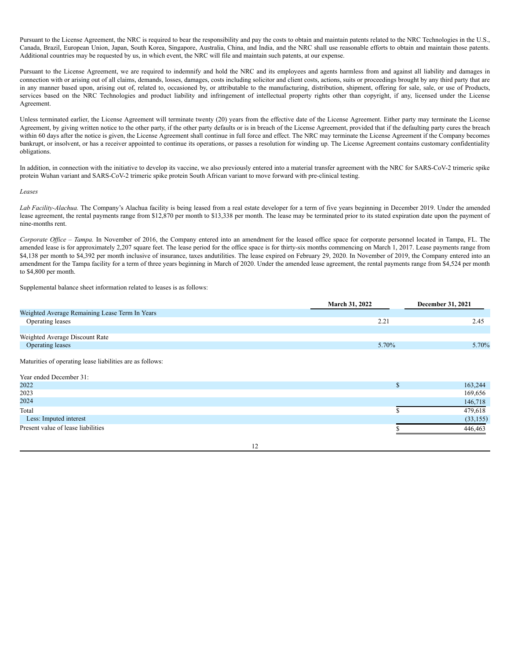Pursuant to the License Agreement, the NRC is required to bear the responsibility and pay the costs to obtain and maintain patents related to the NRC Technologies in the U.S., Canada, Brazil, European Union, Japan, South Korea, Singapore, Australia, China, and India, and the NRC shall use reasonable efforts to obtain and maintain those patents. Additional countries may be requested by us, in which event, the NRC will file and maintain such patents, at our expense.

Pursuant to the License Agreement, we are required to indemnify and hold the NRC and its employees and agents harmless from and against all liability and damages in connection with or arising out of all claims, demands, losses, damages, costs including solicitor and client costs, actions, suits or proceedings brought by any third party that are in any manner based upon, arising out of, related to, occasioned by, or attributable to the manufacturing, distribution, shipment, offering for sale, sale, or use of Products, services based on the NRC Technologies and product liability and infringement of intellectual property rights other than copyright, if any, licensed under the License A greement.

Unless terminated earlier, the License Agreement will terminate twenty (20) years from the effective date of the License Agreement. Either party may terminate the License Agreement, by giving written notice to the other party, if the other party defaults or is in breach of the License Agreement, provided that if the defaulting party cures the breach within 60 days after the notice is given, the License Agreement shall continue in full force and effect. The NRC may terminate the License Agreement if the Company becomes bankrupt, or insolvent, or has a receiver appointed to continue its operations, or passes a resolution for winding up. The License Agreement contains customary confidentiality obligations.

In addition, in connection with the initiative to develop its vaccine, we also previously entered into a material transfer agreement with the NRC for SARS-CoV-2 trimeric spike protein Wuhan variant and SARS-CoV-2 trimeric spike protein South African variant to move forward with pre-clinical testing.

#### *Leases*

*Lab Facility-Alachua.* The Company's Alachua facility is being leased from a real estate developer for a term of five years beginning in December 2019. Under the amended lease agreement, the rental payments range from \$12,870 per month to \$13,338 per month. The lease may be terminated prior to its stated expiration date upon the payment of nine-months rent.

*Corporate Of ice – Tampa.* In November of 2016, the Company entered into an amendment for the leased office space for corporate personnel located in Tampa, FL. The amended lease is for approximately 2,207 square feet. The lease period for the office space is for thirty-six months commencing on March 1, 2017. Lease payments range from \$4,138 per month to \$4,392 per month inclusive of insurance, taxes andutilities. The lease expired on February 29, 2020. In November of 2019, the Company entered into an amendment for the Tampa facility for a term of three years beginning in March of 2020. Under the amended lease agreement, the rental payments range from \$4,524 per month to \$4,800 per month.

Supplemental balance sheet information related to leases is as follows:

|                                                                                      | <b>March 31, 2022</b> |           |
|--------------------------------------------------------------------------------------|-----------------------|-----------|
| Weighted Average Remaining Lease Term In Years                                       |                       |           |
| Operating leases                                                                     | 2.21                  | 2.45      |
|                                                                                      |                       |           |
| Weighted Average Discount Rate                                                       |                       |           |
| Operating leases                                                                     | 5.70%                 | 5.70%     |
| Maturities of operating lease liabilities are as follows:<br>Year ended December 31: |                       |           |
| 2022                                                                                 | $\mathbb{S}$          | 163,244   |
| 2023                                                                                 |                       | 169,656   |
| 2024                                                                                 |                       | 146,718   |
| Total                                                                                |                       | 479,618   |
| Less: Imputed interest                                                               |                       | (33, 155) |
| Present value of lease liabilities                                                   |                       | 446,463   |
|                                                                                      |                       |           |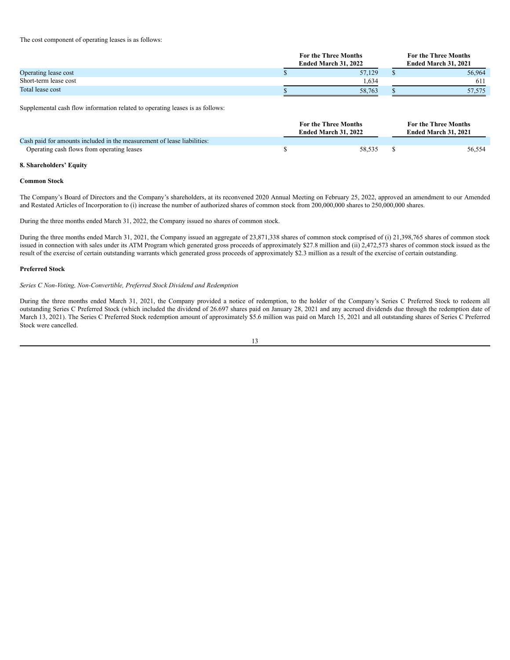The cost component of operating leases is as follows:

| <b>For the Three Months</b><br>Ended March 31, 2022                           |  |                             | <b>For the Three Months</b><br>Ended March 31, 2021 |                             |  |
|-------------------------------------------------------------------------------|--|-----------------------------|-----------------------------------------------------|-----------------------------|--|
| Operating lease cost                                                          |  | 57,129                      |                                                     | 56,964                      |  |
| Short-term lease cost                                                         |  | 1,634                       |                                                     | -611                        |  |
| Total lease cost                                                              |  | 58.763                      |                                                     | 57,575                      |  |
| Supplemental cash flow information related to operating leases is as follows: |  | <b>For the Three Months</b> |                                                     | <b>For the Three Months</b> |  |

|                                                                         | Ended March 31, 2022 |  | Ended March 31, 2021 |  |
|-------------------------------------------------------------------------|----------------------|--|----------------------|--|
| Cash paid for amounts included in the measurement of lease liabilities: |                      |  |                      |  |
| Operating cash flows from operating leases                              | 58.535               |  | 56.554               |  |

## **8. Shareholders' Equity**

## **Common Stock**

The Company's Board of Directors and the Company's shareholders, at its reconvened 2020 Annual Meeting on February 25, 2022, approved an amendment to our Amended and Restated Articles of Incorporation to (i) increase the number of authorized shares of common stock from 200,000,000 shares to 250,000,000 shares.

During the three months ended March 31, 2022, the Company issued no shares of common stock.

During the three months ended March 31, 2021, the Company issued an aggregate of 23,871,338 shares of common stock comprised of (i) 21,398,765 shares of common stock issued in connection with sales under its ATM Program which generated gross proceeds of approximately \$27.8 million and (ii) 2,472,573 shares of common stock issued as the result of the exercise of certain outstanding warrants which generated gross proceeds of approximately \$2.3 million as a result of the exercise of certain outstanding.

#### **Preferred Stock**

#### *Series C Non-Voting, Non-Convertible, Preferred Stock Dividend and Redemption*

During the three months ended March 31, 2021, the Company provided a notice of redemption, to the holder of the Company's Series C Preferred Stock to redeem all outstanding Series C Preferred Stock (which included the dividend of 26.697 shares paid on January 28, 2021 and any accrued dividends due through the redemption date of March 13, 2021). The Series C Preferred Stock redemption amount of approximately \$5.6 million was paid on March 15, 2021 and all outstanding shares of Series C Preferred Stock were cancelled.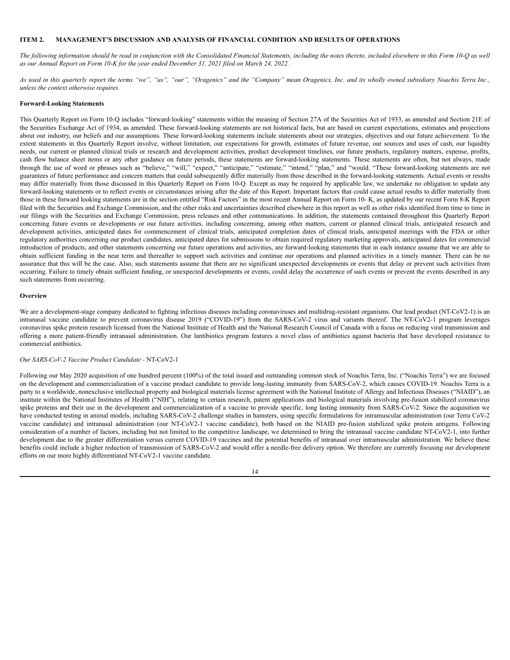#### <span id="page-13-0"></span>**ITEM 2. MANAGEMENT'S DISCUSSION AND ANALYSIS OF FINANCIAL CONDITION AND RESULTS OF OPERATIONS**

The following information should be read in conjunction with the Consolidated Financial Statements, including the notes thereto, included elsewhere in this Form 10-Q as well as our Annual Report on Form 10-K for the year ended December 31, 2021 filed on March 24, 2022.

As used in this quarterly report the terms "we", "us", "our", "Oragenics" and the "Company" mean Oragenics, Inc. and its wholly owned subsidiary Noachis Terra Inc., *unless the context otherwise requires.*

#### **Forward-Looking Statements**

This Quarterly Report on Form 10-Q includes "forward-looking" statements within the meaning of Section 27A of the Securities Act of 1933, as amended and Section 21E of the Securities Exchange Act of 1934, as amended. These forward-looking statements are not historical facts, but are based on current expectations, estimates and projections about our industry, our beliefs and our assumptions. These forward-looking statements include statements about our strategies, objectives and our future achievement. To the extent statements in this Quarterly Report involve, without limitation, our expectations for growth, estimates of future revenue, our sources and uses of cash, our liquidity needs, our current or planned clinical trials or research and development activities, product development timelines, our future products, regulatory matters, expense, profits, cash flow balance sheet items or any other guidance on future periods, these statements are forward-looking statements. These statements are often, but not always, made through the use of word or phrases such as "believe," "will," "expect," "anticipate," "estimate," "intend," "plan," and "would. "These forward-looking statements are not guarantees of future performance and concern matters that could subsequently differ materially from those described in the forward-looking statements. Actual events or results may differ materially from those discussed in this Quarterly Report on Form 10-Q. Except as may be required by applicable law, we undertake no obligation to update any forward-looking statements or to reflect events or circumstances arising after the date of this Report. Important factors that could cause actual results to differ materially from those in these forward looking statements are in the section entitled "Risk Factors" in the most recent Annual Report on Form 10- K, as updated by our recent Form 8-K Report filed with the Securities and Exchange Commission, and the other risks and uncertainties described elsewhere in this report as well as other risks identified from time to time in our filings with the Securities and Exchange Commission, press releases and other communications. In addition, the statements contained throughout this Quarterly Report concerning future events or developments or our future activities, including concerning, among other matters, current or planned clinical trials, anticipated research and development activities, anticipated dates for commencement of clinical trials, anticipated completion dates of clinical trials, anticipated meetings with the FDA or other regulatory authorities concerning our product candidates, anticipated dates for submissions to obtain required regulatory marketing approvals, anticipated dates for commercial introduction of products, and other statements concerning our future operations and activities, are forward-looking statements that in each instance assume that we are able to obtain sufficient funding in the near term and thereafter to support such activities and continue our operations and planned activities in a timely manner. There can be no assurance that this will be the case. Also, such statements assume that there are no significant unexpected developments or events that delay or prevent such activities from occurring. Failure to timely obtain sufficient funding, or unexpected developments or events, could delay the occurrence of such events or prevent the events described in any such statements from occurring.

#### **Overview**

We are a development-stage company dedicated to fighting infectious diseases including coronaviruses and multidrug-resistant organisms. Our lead product (NT-CoV2-1) is an intranasal vaccine candidate to prevent coronavirus disease 2019 ("COVID-19") from the SARS-CoV-2 virus and variants thereof. The NT-CoV2-1 program leverages coronavirus spike protein research licensed from the National Institute of Health and the National Research Council of Canada with a focus on reducing viral transmission and offering a more patient-friendly intranasal administration. Our lantibiotics program features a novel class of antibiotics against bacteria that have developed resistance to commercial antibiotics.

#### *Our SARS-CoV-2 Vaccine Product Candidate -* NT-CoV2-1

Following our May 2020 acquisition of one hundred percent (100%) of the total issued and outstanding common stock of Noachis Terra, Inc. ("Noachis Terra") we are focused on the development and commercialization of a vaccine product candidate to provide long-lasting immunity from SARS-CoV-2, which causes COVID-19. Noachis Terra is a party to a worldwide, nonexclusive intellectual property and biological materials license agreement with the National Institute of Allergy and Infectious Diseases ("NIAID"), an institute within the National Institutes of Health ("NIH"), relating to certain research, patent applications and biological materials involving pre-fusion stabilized coronavirus spike proteins and their use in the development and commercialization of a vaccine to provide specific, long lasting immunity from SARS-CoV-2. Since the acquisition we have conducted testing in animal models, including SARS-CoV-2 challenge studies in hamsters, using specific formulations for intramuscular administration (our Terra CoV-2 vaccine candidate) and intranasal administration (our NT-CoV2-1 vaccine candidate), both based on the NIAID pre-fusion stabilized spike protein antigens. Following consideration of a number of factors, including but not limited to the competitive landscape, we determined to bring the intranasal vaccine candidate NT-CoV2-1, into further development due to the greater differentiation versus current COVID-19 vaccines and the potential benefits of intranasal over intramuscular administration. We believe these benefits could include a higher reduction of transmission of SARS-CoV-2 and would offer a needle-free delivery option. We therefore are currently focusing our development efforts on our more highly differentiated NT-CoV2-1 vaccine candidate.

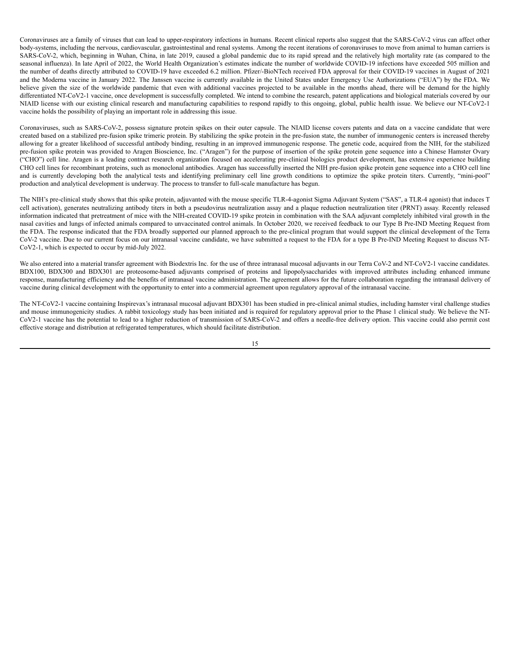Coronaviruses are a family of viruses that can lead to upper-respiratory infections in humans. Recent clinical reports also suggest that the SARS-CoV-2 virus can affect other body-systems, including the nervous, cardiovascular, gastrointestinal and renal systems. Among the recent iterations of coronaviruses to move from animal to human carriers is SARS-CoV-2, which, beginning in Wuhan, China, in late 2019, caused a global pandemic due to its rapid spread and the relatively high mortality rate (as compared to the seasonal influenza). In late April of 2022, the World Health Organization's estimates indicate the number of worldwide COVID-19 infections have exceeded 505 million and the number of deaths directly attributed to COVID-19 have exceeded 6.2 million. Pfizer/-BioNTech received FDA approval for their COVID-19 vaccines in August of 2021 and the Moderna vaccine in January 2022. The Janssen vaccine is currently available in the United States under Emergency Use Authorizations ("EUA") by the FDA. We believe given the size of the worldwide pandemic that even with additional vaccines projected to be available in the months ahead, there will be demand for the highly differentiated NT-CoV2-1 vaccine, once development is successfully completed. We intend to combine the research, patent applications and biological materials covered by our NIAID license with our existing clinical research and manufacturing capabilities to respond rapidly to this ongoing, global, public health issue. We believe our NT-CoV2-1 vaccine holds the possibility of playing an important role in addressing this issue.

Coronaviruses, such as SARS-CoV-2, possess signature protein spikes on their outer capsule. The NIAID license covers patents and data on a vaccine candidate that were created based on a stabilized pre-fusion spike trimeric protein. By stabilizing the spike protein in the pre-fusion state, the number of immunogenic centers is increased thereby allowing for a greater likelihood of successful antibody binding, resulting in an improved immunogenic response. The genetic code, acquired from the NIH, for the stabilized pre-fusion spike protein was provided to Aragen Bioscience, Inc. ("Aragen") for the purpose of insertion of the spike protein gene sequence into a Chinese Hamster Ovary ("CHO") cell line. Aragen is a leading contract research organization focused on accelerating pre-clinical biologics product development, has extensive experience building CHO cell lines for recombinant proteins, such as monoclonal antibodies. Aragen has successfully inserted the NIH pre-fusion spike protein gene sequence into a CHO cell line and is currently developing both the analytical tests and identifying preliminary cell line growth conditions to optimize the spike protein titers. Currently, "mini-pool" production and analytical development is underway. The process to transfer to full-scale manufacture has begun.

The NIH's pre-clinical study shows that this spike protein, adjuvanted with the mouse specific TLR-4-agonist Sigma Adjuvant System ("SAS", a TLR-4 agonist) that induces T cell activation), generates neutralizing antibody titers in both a pseudovirus neutralization assay and a plaque reduction neutralization titer (PRNT) assay. Recently released information indicated that pretreatment of mice with the NIH-created COVID-19 spike protein in combination with the SAA adjuvant completely inhibited viral growth in the nasal cavities and lungs of infected animals compared to unvaccinated control animals. In October 2020, we received feedback to our Type B Pre-IND Meeting Request from the FDA. The response indicated that the FDA broadly supported our planned approach to the pre-clinical program that would support the clinical development of the Terra CoV-2 vaccine. Due to our current focus on our intranasal vaccine candidate, we have submitted a request to the FDA for a type B Pre-IND Meeting Request to discuss NT-CoV2-1, which is expected to occur by mid-July 2022.

We also entered into a material transfer agreement with Biodextris Inc. for the use of three intranasal mucosal adjuvants in our Terra CoV-2 and NT-CoV2-1 vaccine candidates. BDX100, BDX300 and BDX301 are proteosome-based adjuvants comprised of proteins and lipopolysaccharides with improved attributes including enhanced immune response, manufacturing efficiency and the benefits of intranasal vaccine administration. The agreement allows for the future collaboration regarding the intranasal delivery of vaccine during clinical development with the opportunity to enter into a commercial agreement upon regulatory approval of the intranasal vaccine.

The NT-CoV2-1 vaccine containing Inspirevax's intranasal mucosal adjuvant BDX301 has been studied in pre-clinical animal studies, including hamster viral challenge studies and mouse immunogenicity studies. A rabbit toxicology study has been initiated and is required for regulatory approval prior to the Phase 1 clinical study. We believe the NT-CoV2-1 vaccine has the potential to lead to a higher reduction of transmission of SARS-CoV-2 and offers a needle-free delivery option. This vaccine could also permit cost effective storage and distribution at refrigerated temperatures, which should facilitate distribution.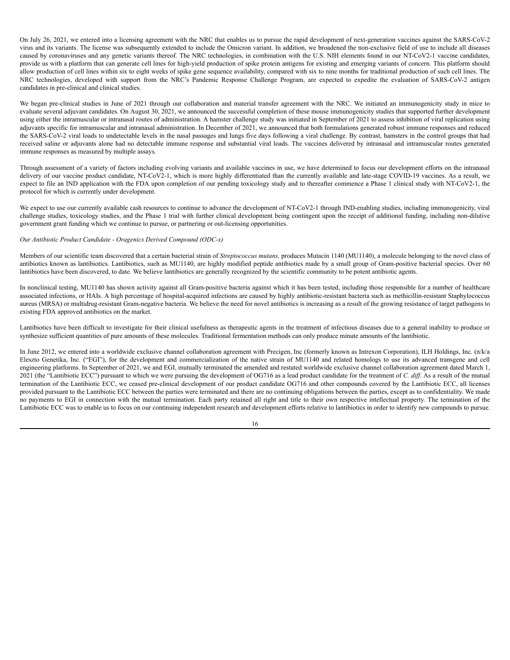On July 26, 2021, we entered into a licensing agreement with the NRC that enables us to pursue the rapid development of next-generation vaccines against the SARS-CoV-2 virus and its variants. The license was subsequently extended to include the Omicron variant. In addition, we broadened the non-exclusive field of use to include all diseases caused by coronaviruses and any genetic variants thereof. The NRC technologies, in combination with the U.S. NIH elements found in our NT-CoV2-1 vaccine candidates, provide us with a platform that can generate cell lines for high-yield production of spike protein antigens for existing and emerging variants of concern. This platform should allow production of cell lines within six to eight weeks of spike gene sequence availability, compared with six to nine months for traditional production of such cell lines. The NRC technologies, developed with support from the NRC's Pandemic Response Challenge Program, are expected to expedite the evaluation of SARS-CoV-2 antigen candidates in pre-clinical and clinical studies.

We began pre-clinical studies in June of 2021 through our collaboration and material transfer agreement with the NRC. We initiated an immunogenicity study in mice to evaluate several adjuvant candidates. On August 30, 2021, we announced the successful completion of these mouse immunogenicity studies that supported further development using either the intramuscular or intranasal routes of administration. A hamster challenge study was initiated in September of 2021 to assess inhibition of viral replication using adjuvants specific for intramuscular and intranasal administration. In December of 2021, we announced that both formulations generated robust immune responses and reduced the SARS-CoV-2 viral loads to undetectable levels in the nasal passages and lungs five days following a viral challenge. By contrast, hamsters in the control groups that had received saline or adjuvants alone had no detectable immune response and substantial viral loads. The vaccines delivered by intranasal and intramuscular routes generated immune responses as measured by multiple assays.

Through assessment of a variety of factors including evolving variants and available vaccines in use, we have determined to focus our development efforts on the intranasal delivery of our vaccine product candidate, NT-CoV2-1, which is more highly differentiated than the currently available and late-stage COVID-19 vaccines. As a result, we expect to file an IND application with the FDA upon completion of our pending toxicology study and to thereafter commence a Phase 1 clinical study with NT-CoV2-1, the protocol for which is currently under development.

We expect to use our currently available cash resources to continue to advance the development of NT-CoV2-1 through IND-enabling studies, including immunogenicity, viral challenge studies, toxicology studies, and the Phase 1 trial with further clinical development being contingent upon the receipt of additional funding, including non-dilutive government grant funding which we continue to pursue, or partnering or out-licensing opportunities.

## *Our Antibiotic Product Candidate - Oragenics Derived Compound (ODC-x)*

Members of our scientific team discovered that a certain bacterial strain of *Streptococcus mutans,* produces Mutacin 1140 (MU1140), a molecule belonging to the novel class of antibiotics known as lantibiotics. Lantibiotics, such as MU1140, are highly modified peptide antibiotics made by a small group of Gram-positive bacterial species. Over 60 lantibiotics have been discovered, to date. We believe lantibiotics are generally recognized by the scientific community to be potent antibiotic agents.

In nonclinical testing, MU1140 has shown activity against all Gram-positive bacteria against which it has been tested, including those responsible for a number of healthcare associated infections, or HAIs. A high percentage of hospital-acquired infections are caused by highly antibiotic-resistant bacteria such as methicillin-resistant Staphylococcus aureus (MRSA) or multidrug-resistant Gram-negative bacteria. We believe the need for novel antibiotics is increasing as a result of the growing resistance of target pathogens to existing FDA approved antibiotics on the market.

Lantibiotics have been difficult to investigate for their clinical usefulness as therapeutic agents in the treatment of infectious diseases due to a general inability to produce or synthesize sufficient quantities of pure amounts of these molecules. Traditional fermentation methods can only produce minute amounts of the lantibiotic.

In June 2012, we entered into a worldwide exclusive channel collaboration agreement with Precigen, Inc (formerly known as Intrexon Corporation), ILH Holdings, Inc. (n/k/a Eleszto Genetika, Inc. ("EGI"), for the development and commercialization of the native strain of MU1140 and related homologs to use its advanced transgene and cell engineering platforms. In September of 2021, we and EGI, mutually terminated the amended and restated worldwide exclusive channel collaboration agreement dated March 1, 2021 (the "Lantibiotic ECC") pursuant to which we were pursuing the development of OG716 as a lead product candidate for the treatment of *C. diff.* As a result of the mutual termination of the Lantibiotic ECC, we ceased pre-clinical development of our product candidate OG716 and other compounds covered by the Lantibiotic ECC, all licenses provided pursuant to the Lantibiotic ECC between the parties were terminated and there are no continuing obligations between the parties, except as to confidentiality. We made no payments to EGI in connection with the mutual termination. Each party retained all right and title to their own respective intellectual property. The termination of the Lantibiotic ECC was to enable us to focus on our continuing independent research and development efforts relative to lantibiotics in order to identify new compounds to pursue.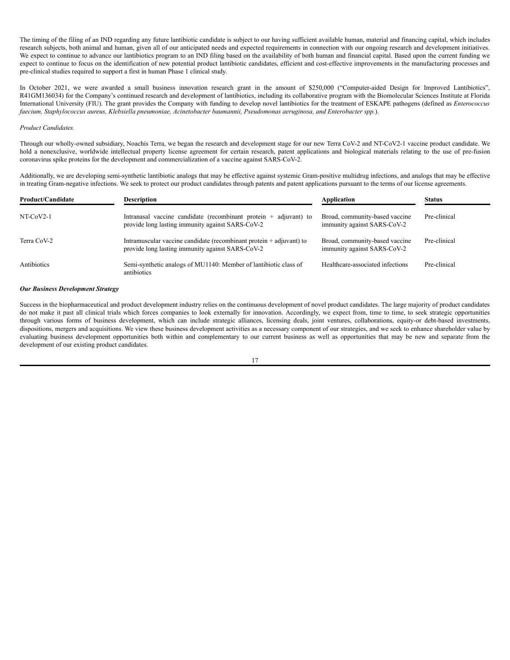The timing of the filing of an IND regarding any future lantibiotic candidate is subject to our having sufficient available human, material and financing capital, which includes research subjects, both animal and human, given all of our anticipated needs and expected requirements in connection with our ongoing research and development initiatives. We expect to continue to advance our lantibiotics program to an IND filing based on the availability of both human and financial capital. Based upon the current funding we expect to continue to focus on the identification of new potential product lantibiotic candidates, efficient and cost-effective improvements in the manufacturing processes and pre-clinical studies required to support a first in human Phase 1 clinical study.

In October 2021, we were awarded a small business innovation research grant in the amount of \$250,000 ("Computer-aided Design for Improved Lantibiotics", R41GM136034) for the Company's continued research and development of lantibiotics, including its collaborative program with the Biomolecular Sciences Institute at Florida International University (FIU). The grant provides the Company with funding to develop novel lantibiotics for the treatment of ESKAPE pathogens (defined as *Enterococcus faecium, Staphylococcus aureus, Klebsiella pneumoniae, Acinetobacter baumannii, Pseudomonas aeruginosa, and Enterobacter spp.*).

## *Product Candidates.*

Through our wholly-owned subsidiary, Noachis Terra, we began the research and development stage for our new Terra CoV-2 and NT-CoV2-1 vaccine product candidate. We hold a nonexclusive, worldwide intellectual property license agreement for certain research, patent applications and biological materials relating to the use of pre-fusion coronavirus spike proteins for the development and commercialization of a vaccine against SARS-CoV-2.

Additionally, we are developing semi-synthetic lantibiotic analogs that may be effective against systemic Gram-positive multidrug infections, and analogs that may be effective in treating Gram-negative infections. We seek to protect our product candidates through patents and patent applications pursuant to the terms of our license agreements.

| Product/Candidate | <b>Description</b>                                                                                                        | Application                                                   | <b>Status</b> |
|-------------------|---------------------------------------------------------------------------------------------------------------------------|---------------------------------------------------------------|---------------|
| $NT-CoV2-1$       | Intranasal vaccine candidate (recombinant protein $+$ adjuvant) to<br>provide long lasting immunity against SARS-CoV-2    | Broad, community-based vaccine<br>immunity against SARS-CoV-2 | Pre-clinical  |
| Terra CoV-2       | Intramuscular vaccine candidate (recombinant protein $+$ adjuvant) to<br>provide long lasting immunity against SARS-CoV-2 | Broad, community-based vaccine<br>immunity against SARS-CoV-2 | Pre-clinical  |
| Antibiotics       | Semi-synthetic analogs of MU1140: Member of lantibiotic class of<br>antibiotics                                           | Healthcare-associated infections                              | Pre-clinical  |

#### *Our Business Development Strategy*

Success in the biopharmaceutical and product development industry relies on the continuous development of novel product candidates. The large majority of product candidates do not make it past all clinical trials which forces companies to look externally for innovation. Accordingly, we expect from, time to time, to seek strategic opportunities through various forms of business development, which can include strategic alliances, licensing deals, joint ventures, collaborations, equity-or debt-based investments, dispositions, mergers and acquisitions. We view these business development activities as a necessary component of our strategies, and we seek to enhance shareholder value by evaluating business development opportunities both within and complementary to our current business as well as opportunities that may be new and separate from the development of our existing product candidates.

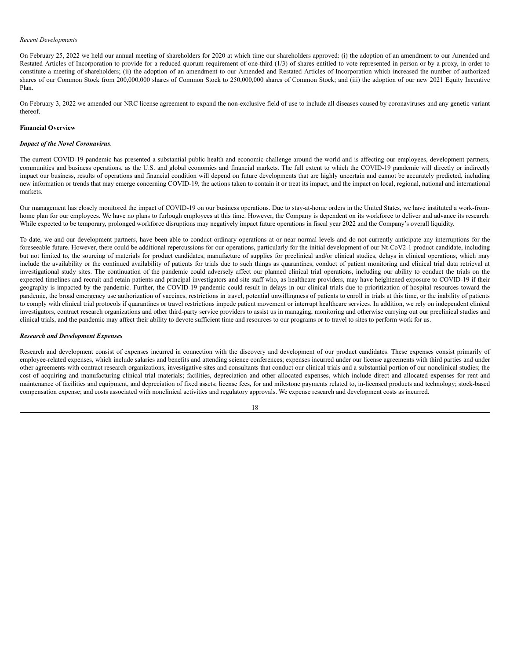## *Recent Developments*

On February 25, 2022 we held our annual meeting of shareholders for 2020 at which time our shareholders approved: (i) the adoption of an amendment to our Amended and Restated Articles of Incorporation to provide for a reduced quorum requirement of one-third (1/3) of shares entitled to vote represented in person or by a proxy, in order to constitute a meeting of shareholders; (ii) the adoption of an amendment to our Amended and Restated Articles of Incorporation which increased the number of authorized shares of our Common Stock from 200,000,000 shares of Common Stock to 250,000,000 shares of Common Stock; and (iii) the adoption of our new 2021 Equity Incentive Plan.

On February 3, 2022 we amended our NRC license agreement to expand the non-exclusive field of use to include all diseases caused by coronaviruses and any genetic variant thereof.

#### **Financial Overview**

#### *Impact of the Novel Coronavirus*.

The current COVID-19 pandemic has presented a substantial public health and economic challenge around the world and is affecting our employees, development partners, communities and business operations, as the U.S. and global economies and financial markets. The full extent to which the COVID-19 pandemic will directly or indirectly impact our business, results of operations and financial condition will depend on future developments that are highly uncertain and cannot be accurately predicted, including new information or trends that may emerge concerning COVID-19, the actions taken to contain it or treat its impact, and the impact on local, regional, national and international markets.

Our management has closely monitored the impact of COVID-19 on our business operations. Due to stay-at-home orders in the United States, we have instituted a work-fromhome plan for our employees. We have no plans to furlough employees at this time. However, the Company is dependent on its workforce to deliver and advance its research. While expected to be temporary, prolonged workforce disruptions may negatively impact future operations in fiscal year 2022 and the Company's overall liquidity.

To date, we and our development partners, have been able to conduct ordinary operations at or near normal levels and do not currently anticipate any interruptions for the foreseeable future. However, there could be additional repercussions for our operations, particularly for the initial development of our Nt-CoV2-1 product candidate, including but not limited to, the sourcing of materials for product candidates, manufacture of supplies for preclinical and/or clinical studies, delays in clinical operations, which may include the availability or the continued availability of patients for trials due to such things as quarantines, conduct of patient monitoring and clinical trial data retrieval at investigational study sites. The continuation of the pandemic could adversely affect our planned clinical trial operations, including our ability to conduct the trials on the expected timelines and recruit and retain patients and principal investigators and site staff who, as healthcare providers, may have heightened exposure to COVID-19 if their geography is impacted by the pandemic. Further, the COVID-19 pandemic could result in delays in our clinical trials due to prioritization of hospital resources toward the pandemic, the broad emergency use authorization of vaccines, restrictions in travel, potential unwillingness of patients to enroll in trials at this time, or the inability of patients to comply with clinical trial protocols if quarantines or travel restrictions impede patient movement or interrupt healthcare services. In addition, we rely on independent clinical investigators, contract research organizations and other third-party service providers to assist us in managing, monitoring and otherwise carrying out our preclinical studies and clinical trials, and the pandemic may affect their ability to devote sufficient time and resources to our programs or to travel to sites to perform work for us.

#### *Research and Development Expenses*

Research and development consist of expenses incurred in connection with the discovery and development of our product candidates. These expenses consist primarily of employee-related expenses, which include salaries and benefits and attending science conferences; expenses incurred under our license agreements with third parties and under other agreements with contract research organizations, investigative sites and consultants that conduct our clinical trials and a substantial portion of our nonclinical studies; the cost of acquiring and manufacturing clinical trial materials; facilities, depreciation and other allocated expenses, which include direct and allocated expenses for rent and maintenance of facilities and equipment, and depreciation of fixed assets; license fees, for and milestone payments related to, in-licensed products and technology; stock-based compensation expense; and costs associated with nonclinical activities and regulatory approvals. We expense research and development costs as incurred.

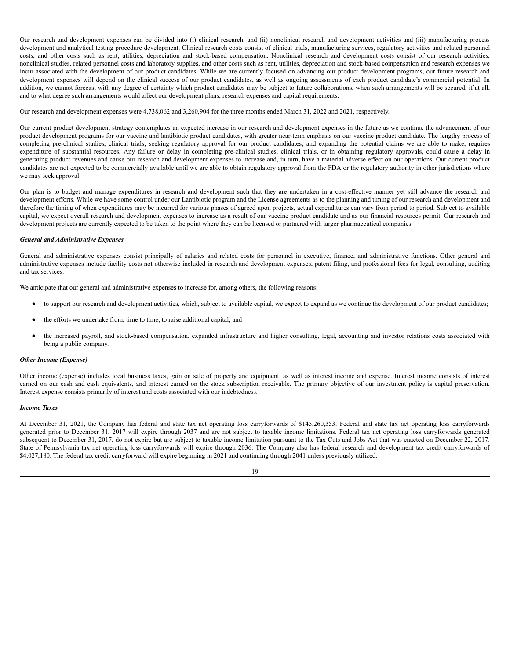Our research and development expenses can be divided into (i) clinical research, and (ii) nonclinical research and development activities and (iii) manufacturing process development and analytical testing procedure development. Clinical research costs consist of clinical trials, manufacturing services, regulatory activities and related personnel costs, and other costs such as rent, utilities, depreciation and stock-based compensation. Nonclinical research and development costs consist of our research activities, nonclinical studies, related personnel costs and laboratory supplies, and other costs such as rent, utilities, depreciation and stock-based compensation and research expenses we incur associated with the development of our product candidates. While we are currently focused on advancing our product development programs, our future research and development expenses will depend on the clinical success of our product candidates, as well as ongoing assessments of each product candidate's commercial potential. In addition, we cannot forecast with any degree of certainty which product candidates may be subject to future collaborations, when such arrangements will be secured, if at all, and to what degree such arrangements would affect our development plans, research expenses and capital requirements.

Our research and development expenses were 4,738,062 and 3,260,904 for the three months ended March 31, 2022 and 2021, respectively.

Our current product development strategy contemplates an expected increase in our research and development expenses in the future as we continue the advancement of our product development programs for our vaccine and lantibiotic product candidates, with greater near-term emphasis on our vaccine product candidate. The lengthy process of completing pre-clinical studies, clinical trials; seeking regulatory approval for our product candidates; and expanding the potential claims we are able to make, requires expenditure of substantial resources. Any failure or delay in completing pre-clinical studies, clinical trials, or in obtaining regulatory approvals, could cause a delay in generating product revenues and cause our research and development expenses to increase and, in turn, have a material adverse effect on our operations. Our current product candidates are not expected to be commercially available until we are able to obtain regulatory approval from the FDA or the regulatory authority in other jurisdictions where we may seek approval.

Our plan is to budget and manage expenditures in research and development such that they are undertaken in a cost-effective manner yet still advance the research and development efforts. While we have some control under our Lantibiotic program and the License agreements as to the planning and timing of our research and development and therefore the timing of when expenditures may be incurred for various phases of agreed upon projects, actual expenditures can vary from period to period. Subject to available capital, we expect overall research and development expenses to increase as a result of our vaccine product candidate and as our financial resources permit. Our research and development projects are currently expected to be taken to the point where they can be licensed or partnered with larger pharmaceutical companies.

#### *General and Administrative Expenses*

General and administrative expenses consist principally of salaries and related costs for personnel in executive, finance, and administrative functions. Other general and administrative expenses include facility costs not otherwise included in research and development expenses, patent filing, and professional fees for legal, consulting, auditing and tax services.

We anticipate that our general and administrative expenses to increase for, among others, the following reasons:

- to support our research and development activities, which, subject to available capital, we expect to expand as we continue the development of our product candidates;
- the efforts we undertake from, time to time, to raise additional capital; and
- the increased payroll, and stock-based compensation, expanded infrastructure and higher consulting, legal, accounting and investor relations costs associated with being a public company.

#### *Other Income (Expense)*

Other income (expense) includes local business taxes, gain on sale of property and equipment, as well as interest income and expense. Interest income consists of interest earned on our cash and cash equivalents, and interest earned on the stock subscription receivable. The primary objective of our investment policy is capital preservation. Interest expense consists primarily of interest and costs associated with our indebtedness.

## *Income Taxes*

At December 31, 2021, the Company has federal and state tax net operating loss carryforwards of \$145,260,353. Federal and state tax net operating loss carryforwards generated prior to December 31, 2017 will expire through 2037 and are not subject to taxable income limitations. Federal tax net operating loss carryforwards generated subsequent to December 31, 2017, do not expire but are subject to taxable income limitation pursuant to the Tax Cuts and Jobs Act that was enacted on December 22, 2017. State of Pennsylvania tax net operating loss carryforwards will expire through 2036. The Company also has federal research and development tax credit carryforwards of \$4,027,180. The federal tax credit carryforward will expire beginning in 2021 and continuing through 2041 unless previously utilized.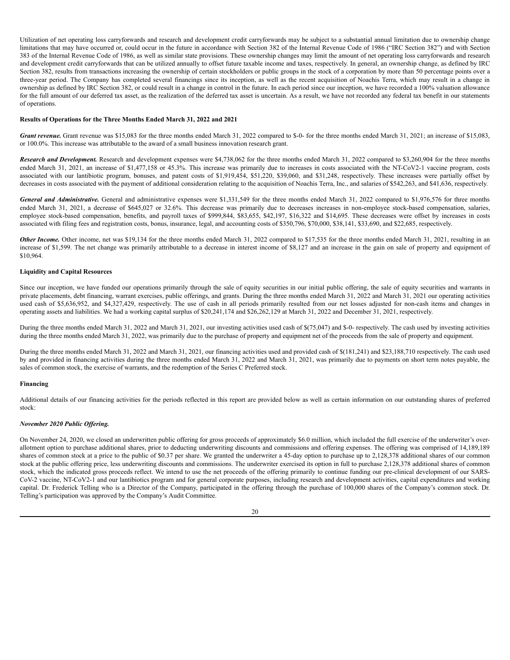Utilization of net operating loss carryforwards and research and development credit carryforwards may be subject to a substantial annual limitation due to ownership change limitations that may have occurred or, could occur in the future in accordance with Section 382 of the Internal Revenue Code of 1986 ("IRC Section 382") and with Section 383 of the Internal Revenue Code of 1986, as well as similar state provisions. These ownership changes may limit the amount of net operating loss carryforwards and research and development credit carryforwards that can be utilized annually to offset future taxable income and taxes, respectively. In general, an ownership change, as defined by IRC Section 382, results from transactions increasing the ownership of certain stockholders or public groups in the stock of a corporation by more than 50 percentage points over a three-year period. The Company has completed several financings since its inception, as well as the recent acquisition of Noachis Terra, which may result in a change in ownership as defined by IRC Section 382, or could result in a change in control in the future. In each period since our inception, we have recorded a 100% valuation allowance for the full amount of our deferred tax asset, as the realization of the deferred tax asset is uncertain. As a result, we have not recorded any federal tax benefit in our statements of operations.

#### **Results of Operations for the Three Months Ended March 31, 2022 and 2021**

*Grant revenue.* Grant revenue was \$15,083 for the three months ended March 31, 2022 compared to \$-0- for the three months ended March 31, 2021; an increase of \$15,083, or 100.0%. This increase was attributable to the award of a small business innovation research grant.

*Research and Development.* Research and development expenses were \$4,738,062 for the three months ended March 31, 2022 compared to \$3,260,904 for the three months ended March 31, 2021, an increase of \$1,477,158 or 45.3%. This increase was primarily due to increases in costs associated with the NT-CoV2-1 vaccine program, costs associated with our lantibiotic program, bonuses, and patent costs of \$1,919,454, \$51,220, \$39,060, and \$31,248, respectively. These increases were partially offset by decreases in costs associated with the payment of additional consideration relating to the acquisition of Noachis Terra, Inc., and salaries of \$542,263, and \$41,636, respectively.

*General and Administrative.* General and administrative expenses were \$1,331,549 for the three months ended March 31, 2022 compared to \$1,976,576 for three months ended March 31, 2021, a decrease of \$645,027 or 32.6%. This decrease was primarily due to decreases increases in non-employee stock-based compensation, salaries, employee stock-based compensation, benefits, and payroll taxes of \$999,844, \$83,655, \$42,197, \$16,322 and \$14,695. These decreases were offset by increases in costs associated with filing fees and registration costs, bonus, insurance, legal, and accounting costs of \$350,796, \$70,000, \$38,141, \$33,690, and \$22,685, respectively.

*Other Income*. Other income, net was \$19,134 for the three months ended March 31, 2022 compared to \$17,535 for the three months ended March 31, 2021, resulting in an increase of \$1,599. The net change was primarily attributable to a decrease in interest income of \$8,127 and an increase in the gain on sale of property and equipment of \$10,964.

## **Liquidity and Capital Resources**

Since our inception, we have funded our operations primarily through the sale of equity securities in our initial public offering, the sale of equity securities and warrants in private placements, debt financing, warrant exercises, public offerings, and grants. During the three months ended March 31, 2022 and March 31, 2021 our operating activities used cash of \$5,636,952, and \$4,327,429, respectively. The use of cash in all periods primarily resulted from our net losses adjusted for non-cash items and changes in operating assets and liabilities. We had a working capital surplus of \$20,241,174 and \$26,262,129 at March 31, 2022 and December 31, 2021, respectively.

During the three months ended March 31, 2022 and March 31, 2021, our investing activities used cash of \$(75,047) and \$-0- respectively. The cash used by investing activities during the three months ended March 31, 2022, was primarily due to the purchase of property and equipment net of the proceeds from the sale of property and equipment.

During the three months ended March 31, 2022 and March 31, 2021, our financing activities used and provided cash of \$(181,241) and \$23,188,710 respectively. The cash used by and provided in financing activities during the three months ended March 31, 2022 and March 31, 2021, was primarily due to payments on short term notes payable, the sales of common stock, the exercise of warrants, and the redemption of the Series C Preferred stock.

#### **Financing**

Additional details of our financing activities for the periods reflected in this report are provided below as well as certain information on our outstanding shares of preferred stock:

#### *November 2020 Public Of ering.*

On November 24, 2020, we closed an underwritten public offering for gross proceeds of approximately \$6.0 million, which included the full exercise of the underwriter's overallotment option to purchase additional shares, prior to deducting underwriting discounts and commissions and offering expenses. The offering was comprised of 14,189,189 shares of common stock at a price to the public of \$0.37 per share. We granted the underwriter a 45-day option to purchase up to 2,128,378 additional shares of our common stock at the public offering price, less underwriting discounts and commissions. The underwriter exercised its option in full to purchase 2,128,378 additional shares of common stock, which the indicated gross proceeds reflect. We intend to use the net proceeds of the offering primarily to continue funding our pre-clinical development of our SARS-CoV-2 vaccine, NT-CoV2-1 and our lantibiotics program and for general corporate purposes, including research and development activities, capital expenditures and working capital. Dr. Frederick Telling who is a Director of the Company, participated in the offering through the purchase of 100,000 shares of the Company's common stock. Dr. Telling's participation was approved by the Company's Audit Committee.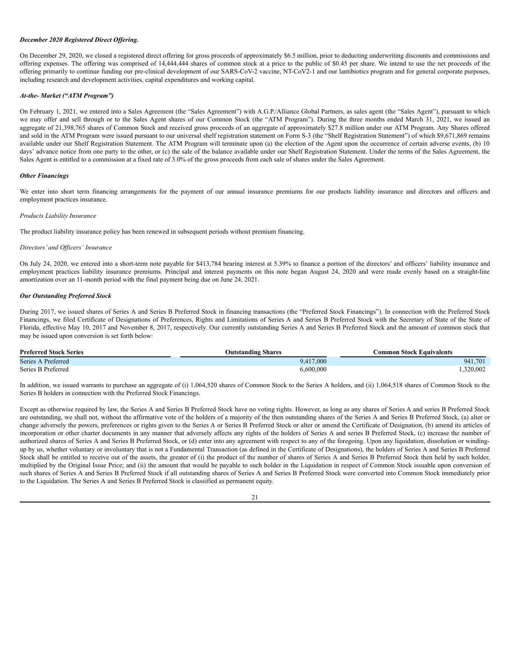## *December 2020 Registered Direct Of ering.*

On December 29, 2020, we closed a registered direct offering for gross proceeds of approximately \$6.5 million, prior to deducting underwriting discounts and commissions and offering expenses. The offering was comprised of 14,444,444 shares of common stock at a price to the public of \$0.45 per share. We intend to use the net proceeds of the offering primarily to continue funding our pre-clinical development of our SARS-CoV-2 vaccine, NT-CoV2-1 and our lantibiotics program and for general corporate purposes, including research and development activities, capital expenditures and working capital.

### *At-the- Market ("ATM Program")*

On February 1, 2021, we entered into a Sales Agreement (the "Sales Agreement") with A.G.P./Alliance Global Partners, as sales agent (the "Sales Agent"), pursuant to which we may offer and sell through or to the Sales Agent shares of our Common Stock (the "ATM Program"). During the three months ended March 31, 2021, we issued an aggregate of 21,398,765 shares of Common Stock and received gross proceeds of an aggregate of approximately \$27.8 million under our ATM Program. Any Shares offered and sold in the ATM Program were issued pursuant to our universal shelf registration statement on Form S-3 (the "Shelf Registration Statement") of which \$9,671,869 remains available under our Shelf Registration Statement. The ATM Program will terminate upon (a) the election of the Agent upon the occurrence of certain adverse events, (b) 10 days' advance notice from one party to the other, or (c) the sale of the balance available under our Shelf Registration Statement. Under the terms of the Sales Agreement, the Sales Agent is entitled to a commission at a fixed rate of 3.0% of the gross proceeds from each sale of shares under the Sales Agreement.

#### *Other Financings*

We enter into short term financing arrangements for the payment of our annual insurance premiums for our products liability insurance and directors and officers and employment practices insurance.

### *Products Liability Insurance*

The product liability insurance policy has been renewed in subsequent periods without premium financing.

#### *Directors' and Of icers' Insurance*

On July 24, 2020, we entered into a short-term note payable for \$413,784 bearing interest at 5.39% to finance a portion of the directors' and officers' liability insurance and employment practices liability insurance premiums. Principal and interest payments on this note began August 24, 2020 and were made evenly based on a straight-line amortization over an 11-month period with the final payment being due on June 24, 2021.

#### *Our Outstanding Preferred Stock*

During 2017, we issued shares of Series A and Series B Preferred Stock in financing transactions (the "Preferred Stock Financings"). In connection with the Preferred Stock Financings, we filed Certificate of Designations of Preferences, Rights and Limitations of Series A and Series B Preferred Stock with the Secretary of State of the State of Florida, effective May 10, 2017 and November 8, 2017, respectively. Our currently outstanding Series A and Series B Preferred Stock and the amount of common stock that may be issued upon conversion is set forth below:

| <b>Preferred Stock Series</b> | <b>Outstanding Shares</b> | Common Stock Equivalents |  |
|-------------------------------|---------------------------|--------------------------|--|
| <b>Series</b><br>Preferred    | 9,417,000                 | 941.701                  |  |
| Series B Preferred            | 5,600,000                 | 1.320.002                |  |

In addition, we issued warrants to purchase an aggregate of (i) 1,064,520 shares of Common Stock to the Series A holders, and (ii) 1,064,518 shares of Common Stock to the Series B holders in connection with the Preferred Stock Financings.

Except as otherwise required by law, the Series A and Series B Preferred Stock have no voting rights. However, as long as any shares of Series A and series B Preferred Stock are outstanding, we shall not, without the affirmative vote of the holders of a majority of the then outstanding shares of the Series A and Series B Preferred Stock, (a) alter or change adversely the powers, preferences or rights given to the Series A or Series B Preferred Stock or alter or amend the Certificate of Designation, (b) amend its articles of incorporation or other charter documents in any manner that adversely affects any rights of the holders of Series A and series B Preferred Stock, (c) increase the number of authorized shares of Series A and Series B Preferred Stock, or (d) enter into any agreement with respect to any of the foregoing. Upon any liquidation, dissolution or windingup by us, whether voluntary or involuntary that is not a Fundamental Transaction (as defined in the Certificate of Designations), the holders of Series A and Series B Preferred Stock shall be entitled to receive out of the assets, the greater of (i) the product of the number of shares of Series A and Series B Preferred Stock then held by such holder, multiplied by the Original Issue Price; and (ii) the amount that would be payable to such holder in the Liquidation in respect of Common Stock issuable upon conversion of such shares of Series A and Series B Preferred Stock if all outstanding shares of Series A and Series B Preferred Stock were converted into Common Stock immediately prior to the Liquidation. The Series A and Series B Preferred Stock is classified as permanent equity.

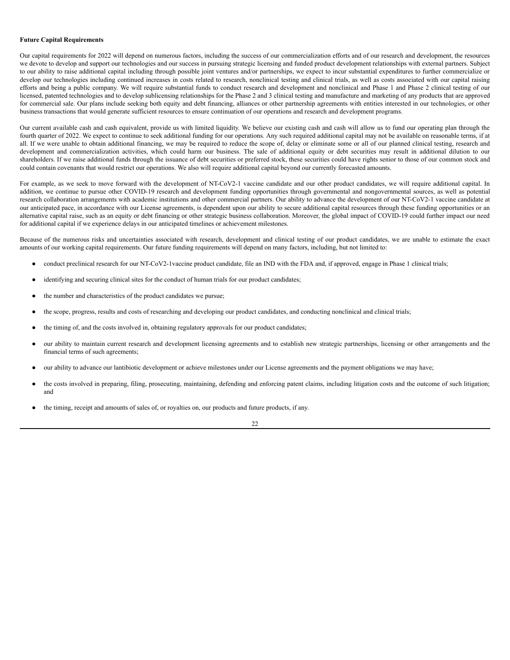#### **Future Capital Requirements**

Our capital requirements for 2022 will depend on numerous factors, including the success of our commercialization efforts and of our research and development, the resources we devote to develop and support our technologies and our success in pursuing strategic licensing and funded product development relationships with external partners. Subject to our ability to raise additional capital including through possible joint ventures and/or partnerships, we expect to incur substantial expenditures to further commercialize or develop our technologies including continued increases in costs related to research, nonclinical testing and clinical trials, as well as costs associated with our capital raising efforts and being a public company. We will require substantial funds to conduct research and development and nonclinical and Phase 1 and Phase 2 clinical testing of our licensed, patented technologies and to develop sublicensing relationships for the Phase 2 and 3 clinical testing and manufacture and marketing of any products that are approved for commercial sale. Our plans include seeking both equity and debt financing, alliances or other partnership agreements with entities interested in our technologies, or other business transactions that would generate sufficient resources to ensure continuation of our operations and research and development programs.

Our current available cash and cash equivalent, provide us with limited liquidity. We believe our existing cash and cash will allow us to fund our operating plan through the fourth quarter of 2022. We expect to continue to seek additional funding for our operations. Any such required additional capital may not be available on reasonable terms, if at all. If we were unable to obtain additional financing, we may be required to reduce the scope of, delay or eliminate some or all of our planned clinical testing, research and development and commercialization activities, which could harm our business. The sale of additional equity or debt securities may result in additional dilution to our shareholders. If we raise additional funds through the issuance of debt securities or preferred stock, these securities could have rights senior to those of our common stock and could contain covenants that would restrict our operations. We also will require additional capital beyond our currently forecasted amounts.

For example, as we seek to move forward with the development of NT-CoV2-1 vaccine candidate and our other product candidates, we will require additional capital. In addition, we continue to pursue other COVID-19 research and development funding opportunities through governmental and nongovernmental sources, as well as potential research collaboration arrangements with academic institutions and other commercial partners. Our ability to advance the development of our NT-CoV2-1 vaccine candidate at our anticipated pace, in accordance with our License agreements, is dependent upon our ability to secure additional capital resources through these funding opportunities or an alternative capital raise, such as an equity or debt financing or other strategic business collaboration. Moreover, the global impact of COVID-19 could further impact our need for additional capital if we experience delays in our anticipated timelines or achievement milestones.

Because of the numerous risks and uncertainties associated with research, development and clinical testing of our product candidates, we are unable to estimate the exact amounts of our working capital requirements. Our future funding requirements will depend on many factors, including, but not limited to:

- conduct preclinical research for our NT-CoV2-1vaccine product candidate, file an IND with the FDA and, if approved, engage in Phase 1 clinical trials;
- identifying and securing clinical sites for the conduct of human trials for our product candidates;
- the number and characteristics of the product candidates we pursue;
- the scope, progress, results and costs of researching and developing our product candidates, and conducting nonclinical and clinical trials;
- the timing of, and the costs involved in, obtaining regulatory approvals for our product candidates;
- our ability to maintain current research and development licensing agreements and to establish new strategic partnerships, licensing or other arrangements and the financial terms of such agreements;
- our ability to advance our lantibiotic development or achieve milestones under our License agreements and the payment obligations we may have;
- the costs involved in preparing, filing, prosecuting, maintaining, defending and enforcing patent claims, including litigation costs and the outcome of such litigation; and
- the timing, receipt and amounts of sales of, or royalties on, our products and future products, if any.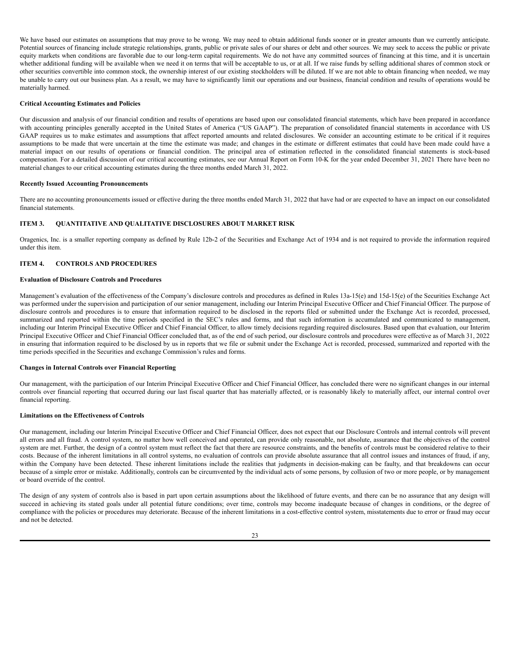We have based our estimates on assumptions that may prove to be wrong. We may need to obtain additional funds sooner or in greater amounts than we currently anticipate. Potential sources of financing include strategic relationships, grants, public or private sales of our shares or debt and other sources. We may seek to access the public or private equity markets when conditions are favorable due to our long-term capital requirements. We do not have any committed sources of financing at this time, and it is uncertain whether additional funding will be available when we need it on terms that will be acceptable to us, or at all. If we raise funds by selling additional shares of common stock or other securities convertible into common stock, the ownership interest of our existing stockholders will be diluted. If we are not able to obtain financing when needed, we may be unable to carry out our business plan. As a result, we may have to significantly limit our operations and our business, financial condition and results of operations would be materially harmed.

#### **Critical Accounting Estimates and Policies**

Our discussion and analysis of our financial condition and results of operations are based upon our consolidated financial statements, which have been prepared in accordance with accounting principles generally accepted in the United States of America ("US GAAP"). The preparation of consolidated financial statements in accordance with US GAAP requires us to make estimates and assumptions that affect reported amounts and related disclosures. We consider an accounting estimate to be critical if it requires assumptions to be made that were uncertain at the time the estimate was made; and changes in the estimate or different estimates that could have been made could have a material impact on our results of operations or financial condition. The principal area of estimation reflected in the consolidated financial statements is stock-based compensation. For a detailed discussion of our critical accounting estimates, see our Annual Report on Form 10-K for the year ended December 31, 2021 There have been no material changes to our critical accounting estimates during the three months ended March 31, 2022.

## **Recently Issued Accounting Pronouncements**

There are no accounting pronouncements issued or effective during the three months ended March 31, 2022 that have had or are expected to have an impact on our consolidated financial statements.

## <span id="page-22-0"></span>**ITEM 3. QUANTITATIVE AND QUALITATIVE DISCLOSURES ABOUT MARKET RISK**

Oragenics, Inc. is a smaller reporting company as defined by Rule 12b-2 of the Securities and Exchange Act of 1934 and is not required to provide the information required under this item.

#### <span id="page-22-1"></span>**ITEM 4. CONTROLS AND PROCEDURES**

## **Evaluation of Disclosure Controls and Procedures**

Management's evaluation of the effectiveness of the Company's disclosure controls and procedures as defined in Rules 13a-15(e) and 15d-15(e) of the Securities Exchange Act was performed under the supervision and participation of our senior management, including our Interim Principal Executive Officer and Chief Financial Officer. The purpose of disclosure controls and procedures is to ensure that information required to be disclosed in the reports filed or submitted under the Exchange Act is recorded, processed, summarized and reported within the time periods specified in the SEC's rules and forms, and that such information is accumulated and communicated to management, including our Interim Principal Executive Officer and Chief Financial Officer, to allow timely decisions regarding required disclosures. Based upon that evaluation, our Interim Principal Executive Officer and Chief Financial Officer concluded that, as of the end of such period, our disclosure controls and procedures were effective as of March 31, 2022 in ensuring that information required to be disclosed by us in reports that we file or submit under the Exchange Act is recorded, processed, summarized and reported with the time periods specified in the Securities and exchange Commission's rules and forms.

#### **Changes in Internal Controls over Financial Reporting**

Our management, with the participation of our Interim Principal Executive Officer and Chief Financial Officer, has concluded there were no significant changes in our internal controls over financial reporting that occurred during our last fiscal quarter that has materially affected, or is reasonably likely to materially affect, our internal control over financial reporting.

## **Limitations on the Effectiveness of Controls**

Our management, including our Interim Principal Executive Officer and Chief Financial Officer, does not expect that our Disclosure Controls and internal controls will prevent all errors and all fraud. A control system, no matter how well conceived and operated, can provide only reasonable, not absolute, assurance that the objectives of the control system are met. Further, the design of a control system must reflect the fact that there are resource constraints, and the benefits of controls must be considered relative to their costs. Because of the inherent limitations in all control systems, no evaluation of controls can provide absolute assurance that all control issues and instances of fraud, if any, within the Company have been detected. These inherent limitations include the realities that judgments in decision-making can be faulty, and that breakdowns can occur because of a simple error or mistake. Additionally, controls can be circumvented by the individual acts of some persons, by collusion of two or more people, or by management or board override of the control.

The design of any system of controls also is based in part upon certain assumptions about the likelihood of future events, and there can be no assurance that any design will succeed in achieving its stated goals under all potential future conditions; over time, controls may become inadequate because of changes in conditions, or the degree of compliance with the policies or procedures may deteriorate. Because of the inherent limitations in a cost-effective control system, misstatements due to error or fraud may occur and not be detected.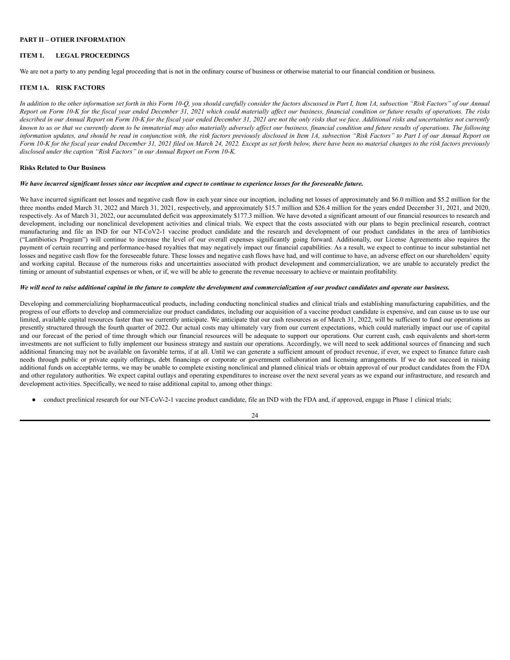### <span id="page-23-0"></span>**PART II – OTHER INFORMATION**

## <span id="page-23-1"></span>**ITEM 1. LEGAL PROCEEDINGS**

We are not a party to any pending legal proceeding that is not in the ordinary course of business or otherwise material to our financial condition or business.

#### <span id="page-23-2"></span>**ITEM 1A. RISK FACTORS**

In addition to the other information set forth in this Form 10-O, you should carefully consider the factors discussed in Part I, Item 1A, subsection "Risk Factors" of our Annual Report on Form 10-K for the fiscal year ended December 31, 2021 which could materially affect our business, financial condition or future results of operations. The risks described in our Annual Report on Form 10-K for the fiscal year ended December 31, 2021 are not the only risks that we face. Additional risks and uncertainties not currently known to us or that we currently deem to be immaterial may also materially adversely affect our business, financial condition and future results of operations. The following information updates, and should be read in conjunction with, the risk factors previously disclosed in Item 1A, subsection "Risk Factors" to Part I of our Annual Report on Form 10-K for the fiscal year ended December 31, 2021 filed on March 24, 2022. Except as set forth below, there have been no material changes to the risk factors previously *disclosed under the caption "Risk Factors" in our Annual Report on Form 10-K.*

#### **Risks Related to Our Business**

#### We have incurred significant losses since our inception and expect to continue to experience losses for the foreseeable future.

We have incurred significant net losses and negative cash flow in each year since our inception, including net losses of approximately and \$6.0 million and \$5.2 million for the three months ended March 31, 2022 and March 31, 2021, respectively, and approximately \$15.7 million and \$26.4 million for the years ended December 31, 2021, and 2020, respectively. As of March 31, 2022, our accumulated deficit was approximately \$177.3 million. We have devoted a significant amount of our financial resources to research and development, including our nonclinical development activities and clinical trials. We expect that the costs associated with our plans to begin preclinical research, contract manufacturing and file an IND for our NT-CoV2-1 vaccine product candidate and the research and development of our product candidates in the area of lantibiotics ("Lantibiotics Program") will continue to increase the level of our overall expenses significantly going forward. Additionally, our License Agreements also requires the payment of certain recurring and performance-based royalties that may negatively impact our financial capabilities. As a result, we expect to continue to incur substantial net losses and negative cash flow for the foreseeable future. These losses and negative cash flows have had, and will continue to have, an adverse effect on our shareholders' equity and working capital. Because of the numerous risks and uncertainties associated with product development and commercialization, we are unable to accurately predict the timing or amount of substantial expenses or when, or if, we will be able to generate the revenue necessary to achieve or maintain profitability.

#### We will need to raise additional capital in the future to complete the development and commercialization of our product candidates and operate our business.

Developing and commercializing biopharmaceutical products, including conducting nonclinical studies and clinical trials and establishing manufacturing capabilities, and the progress of our efforts to develop and commercialize our product candidates, including our acquisition of a vaccine product candidate is expensive, and can cause us to use our limited, available capital resources faster than we currently anticipate. We anticipate that our cash resources as of March 31, 2022, will be sufficient to fund our operations as presently structured through the fourth quarter of 2022. Our actual costs may ultimately vary from our current expectations, which could materially impact our use of capital and our forecast of the period of time through which our financial resources will be adequate to support our operations. Our current cash, cash equivalents and short-term investments are not sufficient to fully implement our business strategy and sustain our operations. Accordingly, we will need to seek additional sources of financing and such additional financing may not be available on favorable terms, if at all. Until we can generate a sufficient amount of product revenue, if ever, we expect to finance future cash needs through public or private equity offerings, debt financings or corporate or government collaboration and licensing arrangements. If we do not succeed in raising additional funds on acceptable terms, we may be unable to complete existing nonclinical and planned clinical trials or obtain approval of our product candidates from the FDA and other regulatory authorities. We expect capital outlays and operating expenditures to increase over the next several years as we expand our infrastructure, and research and development activities. Specifically, we need to raise additional capital to, among other things:

● conduct preclinical research for our NT-CoV-2-1 vaccine product candidate, file an IND with the FDA and, if approved, engage in Phase 1 clinical trials;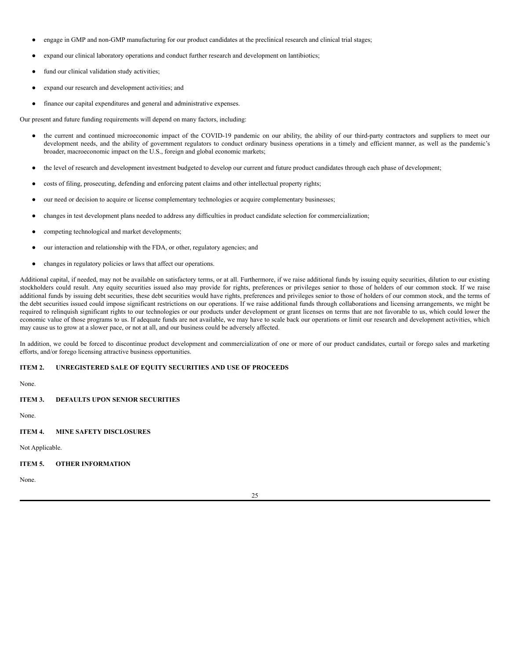- engage in GMP and non-GMP manufacturing for our product candidates at the preclinical research and clinical trial stages;
- expand our clinical laboratory operations and conduct further research and development on lantibiotics;
- fund our clinical validation study activities;
- expand our research and development activities; and
- finance our capital expenditures and general and administrative expenses.

Our present and future funding requirements will depend on many factors, including:

- the current and continued microeconomic impact of the COVID-19 pandemic on our ability, the ability of our third-party contractors and suppliers to meet our development needs, and the ability of government regulators to conduct ordinary business operations in a timely and efficient manner, as well as the pandemic's broader, macroeconomic impact on the U.S., foreign and global economic markets;
- the level of research and development investment budgeted to develop our current and future product candidates through each phase of development;
- costs of filing, prosecuting, defending and enforcing patent claims and other intellectual property rights;
- our need or decision to acquire or license complementary technologies or acquire complementary businesses;
- changes in test development plans needed to address any difficulties in product candidate selection for commercialization;
- competing technological and market developments;
- our interaction and relationship with the FDA, or other, regulatory agencies; and
- changes in regulatory policies or laws that affect our operations.

Additional capital, if needed, may not be available on satisfactory terms, or at all. Furthermore, if we raise additional funds by issuing equity securities, dilution to our existing stockholders could result. Any equity securities issued also may provide for rights, preferences or privileges senior to those of holders of our common stock. If we raise additional funds by issuing debt securities, these debt securities would have rights, preferences and privileges senior to those of holders of our common stock, and the terms of the debt securities issued could impose significant restrictions on our operations. If we raise additional funds through collaborations and licensing arrangements, we might be required to relinquish significant rights to our technologies or our products under development or grant licenses on terms that are not favorable to us, which could lower the economic value of those programs to us. If adequate funds are not available, we may have to scale back our operations or limit our research and development activities, which may cause us to grow at a slower pace, or not at all, and our business could be adversely affected.

In addition, we could be forced to discontinue product development and commercialization of one or more of our product candidates, curtail or forego sales and marketing efforts, and/or forego licensing attractive business opportunities.

## <span id="page-24-0"></span>**ITEM 2. UNREGISTERED SALE OF EQUITY SECURITIES AND USE OF PROCEEDS**

None.

## <span id="page-24-1"></span>**ITEM 3. DEFAULTS UPON SENIOR SECURITIES**

None.

## <span id="page-24-2"></span>**ITEM 4. MINE SAFETY DISCLOSURES**

Not Applicable.

## <span id="page-24-3"></span>**ITEM 5. OTHER INFORMATION**

None.

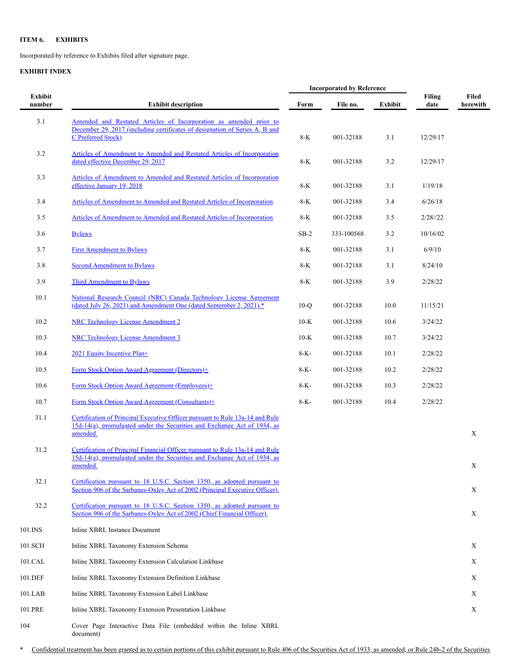## <span id="page-25-0"></span>**ITEM 6. EXHIBITS**

Incorporated by reference to Exhibits filed after signature page.

## **EXHIBIT INDEX**

|                          |                                                                                                                                                                              | <b>Incorporated by Reference</b> |            |         |                       |                          |
|--------------------------|------------------------------------------------------------------------------------------------------------------------------------------------------------------------------|----------------------------------|------------|---------|-----------------------|--------------------------|
| <b>Exhibit</b><br>number | <b>Exhibit description</b>                                                                                                                                                   | Form                             | File no.   | Exhibit | <b>Filing</b><br>date | <b>Filed</b><br>herewith |
| 3.1                      | Amended and Restated Articles of Incorporation as amended prior to<br>December 29, 2017 (including certificates of designation of Series A, B and<br>C Preferred Stock)      | $8-K$                            | 001-32188  | 3.1     | 12/29/17              |                          |
| 3.2                      | Articles of Amendment to Amended and Restated Articles of Incorporation<br>dated effective December 29, 2017                                                                 | $8-K$                            | 001-32188  | 3.2     | 12/29/17              |                          |
| 3.3                      | Articles of Amendment to Amended and Restated Articles of Incorporation<br>effective January 19, 2018                                                                        | $8-K$                            | 001-32188  | 3.1     | 1/19/18               |                          |
| 3.4                      | Articles of Amendment to Amended and Restated Articles of Incorporation                                                                                                      | $8-K$                            | 001-32188  | 3.4     | 6/26/18               |                          |
| 3.5                      | Articles of Amendment to Amended and Restated Articles of Incorporation                                                                                                      | $8-K$                            | 001-32188  | 3.5     | $2/28$ //22           |                          |
| 3.6                      | <b>Bylaws</b>                                                                                                                                                                | $SB-2$                           | 333-100568 | 3.2     | 10/16/02              |                          |
| 3.7                      | <b>First Amendment to Bylaws</b>                                                                                                                                             | $8-K$                            | 001-32188  | 3.1     | 6/9/10                |                          |
| 3.8                      | <b>Second Amendment to Bylaws</b>                                                                                                                                            | $8-K$                            | 001-32188  | 3.1     | 8/24/10               |                          |
| 3.9                      | <b>Third Amendment to Bylaws</b>                                                                                                                                             | $8-K$                            | 001-32188  | 3.9     | 2/28/22               |                          |
| 10.1                     | National Research Council (NRC) Canada Technology License Agreement<br>(dated July 26, 2021) and Amendment One (dated September 2, 2021). <sup>*</sup>                       | $10-Q$                           | 001-32188  | 10.0    | 11/15/21              |                          |
| 10.2                     | <b>NRC Technology License Amendment 2</b>                                                                                                                                    | $10-K$                           | 001-32188  | 10.6    | 3/24/22               |                          |
| 10.3                     | <b>NRC Technology License Amendment 3</b>                                                                                                                                    | $10-K$                           | 001-32188  | 10.7    | 3/24/22               |                          |
| 10.4                     | 2021 Equity Incentive Plan+                                                                                                                                                  | $8-K-$                           | 001-32188  | 10.1    | 2/28/22               |                          |
| 10.5                     | Form Stock Option Award Agreement (Directors)+                                                                                                                               | $8-K-$                           | 001-32188  | 10.2    | 2/28/22               |                          |
| 10.6                     | Form Stock Option Award Agreement (Employees)+                                                                                                                               | $8-K-$                           | 001-32188  | 10.3    | 2/28/22               |                          |
| 10.7                     | Form Stock Option Award Agreement (Consultants)+                                                                                                                             | $8-K-$                           | 001-32188  | 10.4    | 2/28/22               |                          |
| 31.1                     | Certification of Principal Executive Officer pursuant to Rule 13a-14 and Rule<br>15d-14(a), promulgated under the Securities and Exchange Act of 1934, as<br>amended.        |                                  |            |         |                       | $\mathbf X$              |
| 31.2                     | Certification of Principal Financial Officer pursuant to Rule 13a-14 and Rule<br><u>15d-14(a), promulgated under the Securities and Exchange Act of 1934, as</u><br>amended. |                                  |            |         |                       | X                        |
| 32.1                     | Certification pursuant to 18 U.S.C. Section 1350, as adopted pursuant to<br>Section 906 of the Sarbanes-Oxley Act of 2002 (Principal Executive Officer).                     |                                  |            |         |                       | X                        |
| 32.2                     | Certification pursuant to 18 U.S.C. Section 1350, as adopted pursuant to<br>Section 906 of the Sarbanes-Oxley Act of 2002 (Chief Financial Officer).                         |                                  |            |         |                       | X                        |
| 101.INS                  | <b>Inline XBRL Instance Document</b>                                                                                                                                         |                                  |            |         |                       |                          |
| 101.SCH                  | Inline XBRL Taxonomy Extension Schema                                                                                                                                        |                                  |            |         |                       | X                        |
| 101.CAL                  | Inline XBRL Taxonomy Extension Calculation Linkbase                                                                                                                          |                                  |            |         |                       | Χ                        |
| 101.DEF                  | Inline XBRL Taxonomy Extension Definition Linkbase                                                                                                                           |                                  |            |         |                       | X                        |
| 101.LAB                  | Inline XBRL Taxonomy Extension Label Linkbase                                                                                                                                |                                  |            |         |                       | X                        |
| 101.PRE                  | Inline XBRL Taxonomy Extension Presentation Linkbase                                                                                                                         |                                  |            |         |                       | X                        |
| 104                      | Cover Page Interactive Data File (embedded within the Inline XBRL<br>document)                                                                                               |                                  |            |         |                       |                          |

\* Confidential treatment has been granted as to certain portions of this exhibit pursuant to Rule 406 of the Securities Act of 1933, as amended, or Rule 24b-2 of the Securities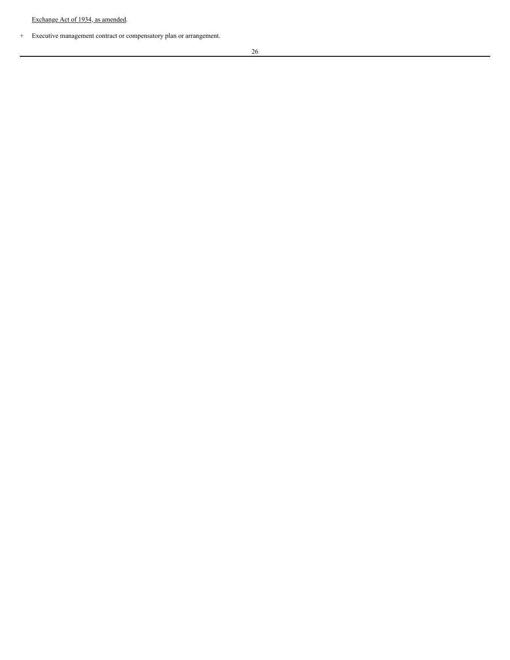Exchange Act of 1934, as amended.

+ Executive management contract or compensatory plan or arrangement.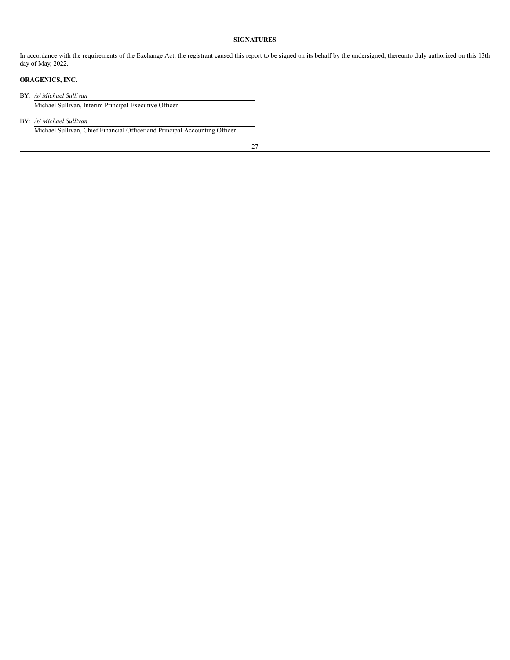## **SIGNATURES**

<span id="page-27-0"></span>In accordance with the requirements of the Exchange Act, the registrant caused this report to be signed on its behalf by the undersigned, thereunto duly authorized on this 13th day of May, 2022.

## **ORAGENICS, INC.**

BY: */s/ Michael Sullivan*

Michael Sullivan, Interim Principal Executive Officer

BY: */s/ Michael Sullivan*

Michael Sullivan, Chief Financial Officer and Principal Accounting Officer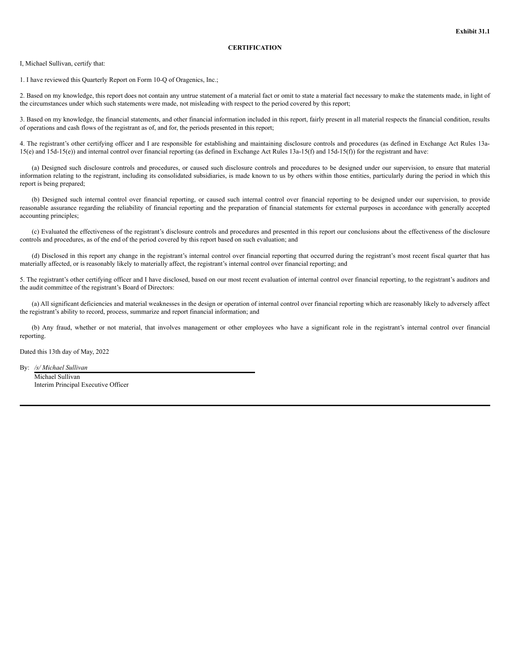#### **CERTIFICATION**

I, Michael Sullivan, certify that:

1. I have reviewed this Quarterly Report on Form 10-Q of Oragenics, Inc.;

2. Based on my knowledge, this report does not contain any untrue statement of a material fact or omit to state a material fact necessary to make the statements made, in light of the circumstances under which such statements were made, not misleading with respect to the period covered by this report;

3. Based on my knowledge, the financial statements, and other financial information included in this report, fairly present in all material respects the financial condition, results of operations and cash flows of the registrant as of, and for, the periods presented in this report;

4. The registrant's other certifying officer and I are responsible for establishing and maintaining disclosure controls and procedures (as defined in Exchange Act Rules 13a-15(e) and 15d-15(e)) and internal control over financial reporting (as defined in Exchange Act Rules 13a-15(f) and 15d-15(f)) for the registrant and have:

(a) Designed such disclosure controls and procedures, or caused such disclosure controls and procedures to be designed under our supervision, to ensure that material information relating to the registrant, including its consolidated subsidiaries, is made known to us by others within those entities, particularly during the period in which this report is being prepared;

(b) Designed such internal control over financial reporting, or caused such internal control over financial reporting to be designed under our supervision, to provide reasonable assurance regarding the reliability of financial reporting and the preparation of financial statements for external purposes in accordance with generally accepted accounting principles;

(c) Evaluated the effectiveness of the registrant's disclosure controls and procedures and presented in this report our conclusions about the effectiveness of the disclosure controls and procedures, as of the end of the period covered by this report based on such evaluation; and

(d) Disclosed in this report any change in the registrant's internal control over financial reporting that occurred during the registrant's most recent fiscal quarter that has materially affected, or is reasonably likely to materially affect, the registrant's internal control over financial reporting; and

5. The registrant's other certifying officer and I have disclosed, based on our most recent evaluation of internal control over financial reporting, to the registrant's auditors and the audit committee of the registrant's Board of Directors:

(a) All significant deficiencies and material weaknesses in the design or operation of internal control over financial reporting which are reasonably likely to adversely affect the registrant's ability to record, process, summarize and report financial information; and

(b) Any fraud, whether or not material, that involves management or other employees who have a significant role in the registrant's internal control over financial reporting.

Dated this 13th day of May, 2022

By: */s/ Michael Sullivan* Michael Sullivan Interim Principal Executive Officer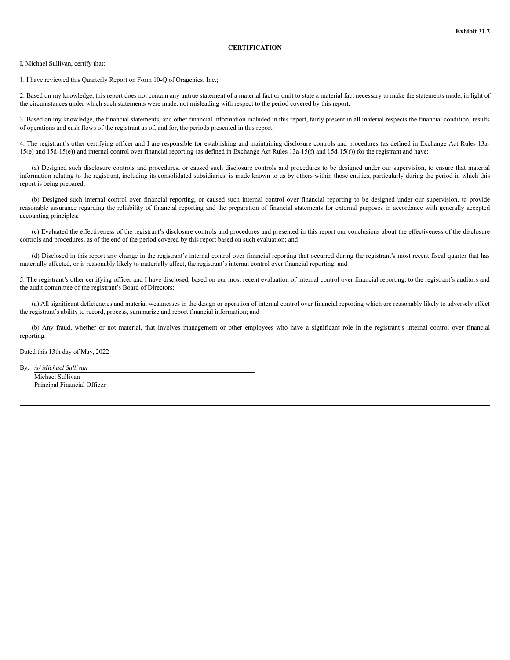#### **CERTIFICATION**

I, Michael Sullivan, certify that:

1. I have reviewed this Quarterly Report on Form 10-Q of Oragenics, Inc.;

2. Based on my knowledge, this report does not contain any untrue statement of a material fact or omit to state a material fact necessary to make the statements made, in light of the circumstances under which such statements were made, not misleading with respect to the period covered by this report;

3. Based on my knowledge, the financial statements, and other financial information included in this report, fairly present in all material respects the financial condition, results of operations and cash flows of the registrant as of, and for, the periods presented in this report;

4. The registrant's other certifying officer and I are responsible for establishing and maintaining disclosure controls and procedures (as defined in Exchange Act Rules 13a-15(e) and 15d-15(e)) and internal control over financial reporting (as defined in Exchange Act Rules 13a-15(f) and 15d-15(f)) for the registrant and have:

(a) Designed such disclosure controls and procedures, or caused such disclosure controls and procedures to be designed under our supervision, to ensure that material information relating to the registrant, including its consolidated subsidiaries, is made known to us by others within those entities, particularly during the period in which this report is being prepared;

(b) Designed such internal control over financial reporting, or caused such internal control over financial reporting to be designed under our supervision, to provide reasonable assurance regarding the reliability of financial reporting and the preparation of financial statements for external purposes in accordance with generally accepted accounting principles;

(c) Evaluated the effectiveness of the registrant's disclosure controls and procedures and presented in this report our conclusions about the effectiveness of the disclosure controls and procedures, as of the end of the period covered by this report based on such evaluation; and

(d) Disclosed in this report any change in the registrant's internal control over financial reporting that occurred during the registrant's most recent fiscal quarter that has materially affected, or is reasonably likely to materially affect, the registrant's internal control over financial reporting; and

5. The registrant's other certifying officer and I have disclosed, based on our most recent evaluation of internal control over financial reporting, to the registrant's auditors and the audit committee of the registrant's Board of Directors:

(a) All significant deficiencies and material weaknesses in the design or operation of internal control over financial reporting which are reasonably likely to adversely affect the registrant's ability to record, process, summarize and report financial information; and

(b) Any fraud, whether or not material, that involves management or other employees who have a significant role in the registrant's internal control over financial reporting.

Dated this 13th day of May, 2022

By: */s/ Michael Sullivan* Michael Sullivan Principal Financial Officer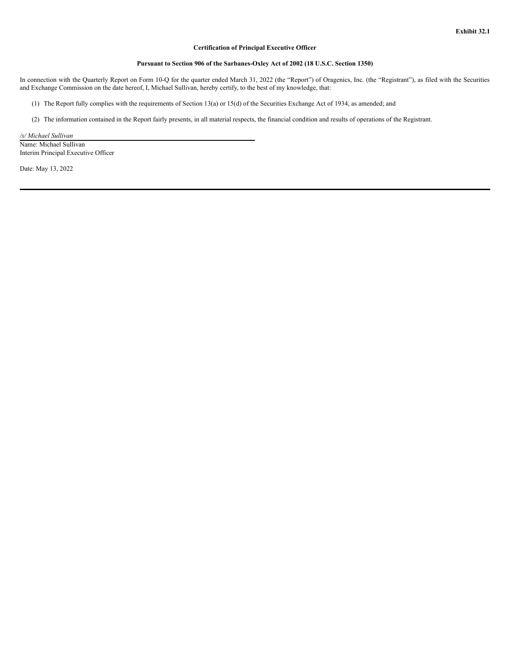#### **Certification of Principal Executive Officer**

## **Pursuant to Section 906 of the Sarbanes-Oxley Act of 2002 (18 U.S.C. Section 1350)**

In connection with the Quarterly Report on Form 10-Q for the quarter ended March 31, 2022 (the "Report") of Oragenics, Inc. (the "Registrant"), as filed with the Securities and Exchange Commission on the date hereof, I, Michael Sullivan, hereby certify, to the best of my knowledge, that:

(1) The Report fully complies with the requirements of Section 13(a) or 15(d) of the Securities Exchange Act of 1934, as amended; and

(2) The information contained in the Report fairly presents, in all material respects, the financial condition and results of operations of the Registrant.

*/s/ Michael Sullivan* Name: Michael Sullivan

Interim Principal Executive Officer

Date: May 13, 2022